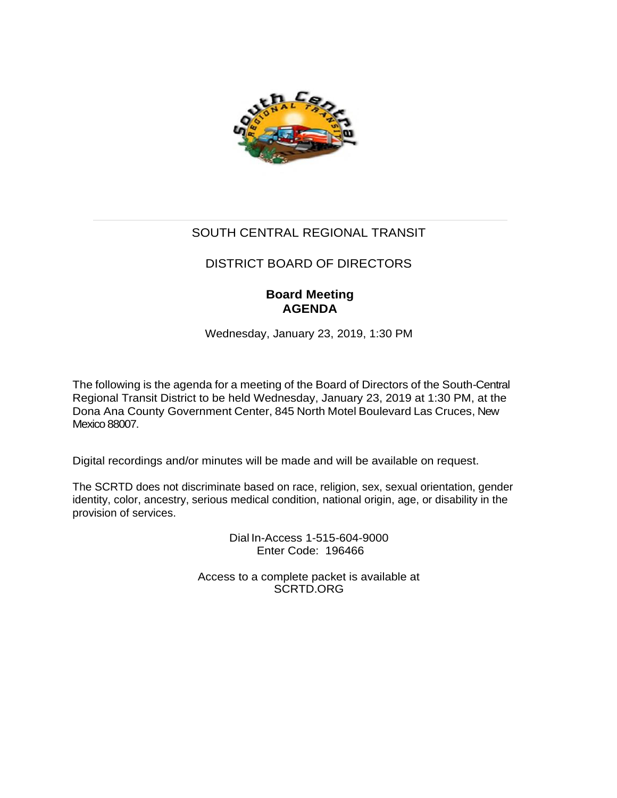

# SOUTH CENTRAL REGIONAL TRANSIT

# DISTRICT BOARD OF DIRECTORS

# **Board Meeting AGENDA**

Wednesday, January 23, 2019, 1:30 PM

The following is the agenda for a meeting of the Board of Directors of the South-Central Regional Transit District to be held Wednesday, January 23, 2019 at 1:30 PM, at the Dona Ana County Government Center, 845 North Motel Boulevard Las Cruces, New Mexico 88007.

Digital recordings and/or minutes will be made and will be available on request.

The SCRTD does not discriminate based on race, religion, sex, sexual orientation, gender identity, color, ancestry, serious medical condition, national origin, age, or disability in the provision of services.

> Dial In-Access 1-515-604-9000 Enter Code: 196466

Access to a complete packet is available at SCRTD.ORG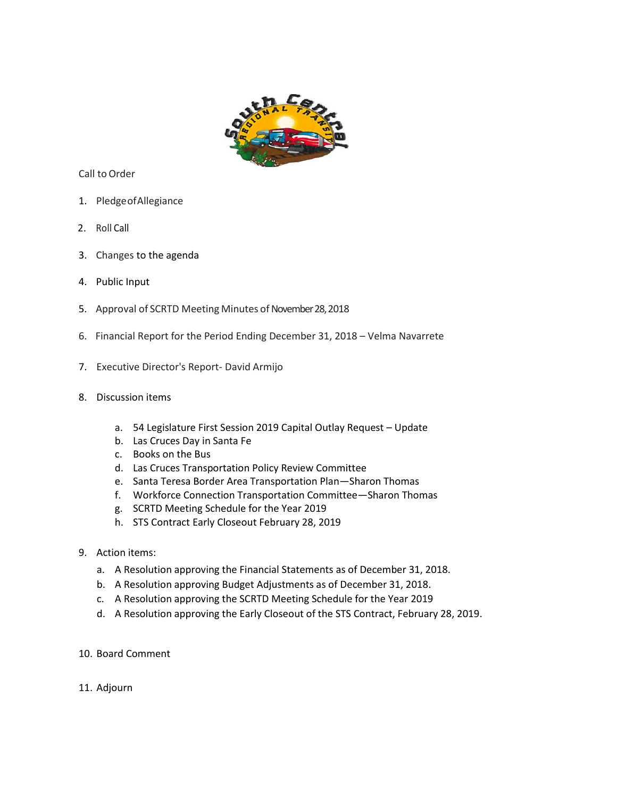

Call to Order

- 1. PledgeofAllegiance
- 2. Roll Call
- 3. Changes to the agenda
- 4. Public Input
- 5. Approval of SCRTD Meeting Minutes of November 28, 2018
- 6. Financial Report for the Period Ending December 31, 2018 Velma Navarrete
- 7. Executive Director's Report- David Armijo
- 8. Discussion items
	- a. 54 Legislature First Session 2019 Capital Outlay Request Update
	- b. Las Cruces Day in Santa Fe
	- c. Books on the Bus
	- d. Las Cruces Transportation Policy Review Committee
	- e. Santa Teresa Border Area Transportation Plan—Sharon Thomas
	- f. Workforce Connection Transportation Committee—Sharon Thomas
	- g. SCRTD Meeting Schedule for the Year 2019
	- h. STS Contract Early Closeout February 28, 2019
- 9. Action items:
	- a. A Resolution approving the Financial Statements as of December 31, 2018.
	- b. A Resolution approving Budget Adjustments as of December 31, 2018.
	- c. A Resolution approving the SCRTD Meeting Schedule for the Year 2019
	- d. A Resolution approving the Early Closeout of the STS Contract, February 28, 2019.
- 10. Board Comment
- 11. Adjourn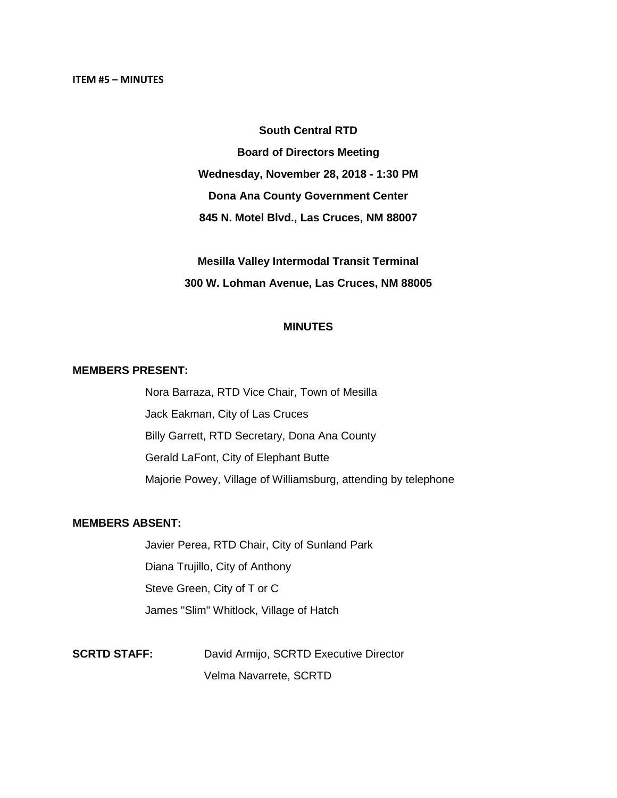#### **South Central RTD**

**Board of Directors Meeting Wednesday, November 28, 2018 - 1:30 PM Dona Ana County Government Center 845 N. Motel Blvd., Las Cruces, NM 88007**

**Mesilla Valley Intermodal Transit Terminal 300 W. Lohman Avenue, Las Cruces, NM 88005**

#### **MINUTES**

#### **MEMBERS PRESENT:**

Nora Barraza, RTD Vice Chair, Town of Mesilla Jack Eakman, City of Las Cruces Billy Garrett, RTD Secretary, Dona Ana County Gerald LaFont, City of Elephant Butte Majorie Powey, Village of Williamsburg, attending by telephone

#### **MEMBERS ABSENT:**

Javier Perea, RTD Chair, City of Sunland Park Diana Trujillo, City of Anthony Steve Green, City of T or C James "Slim" Whitlock, Village of Hatch

**SCRTD STAFF:** David Armijo, SCRTD Executive Director Velma Navarrete, SCRTD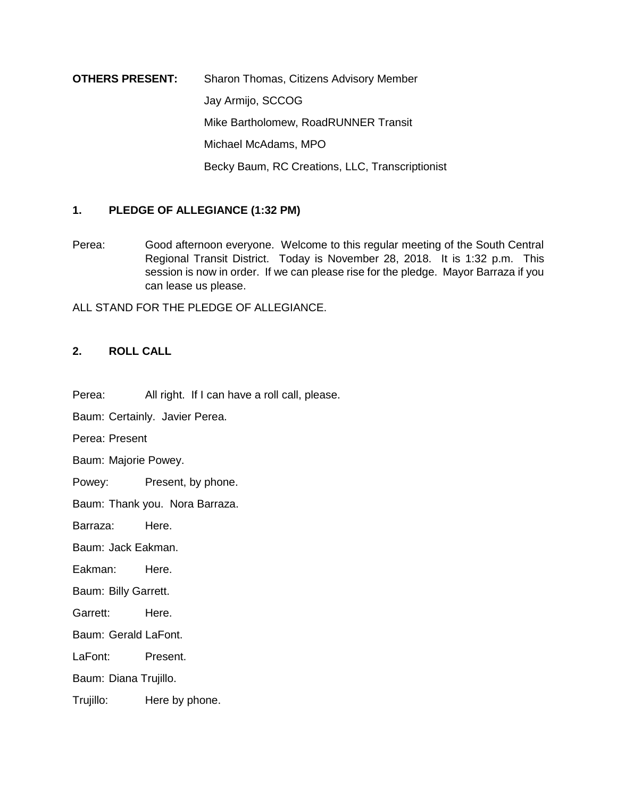**OTHERS PRESENT:** Sharon Thomas, Citizens Advisory Member Jay Armijo, SCCOG Mike Bartholomew, RoadRUNNER Transit Michael McAdams, MPO Becky Baum, RC Creations, LLC, Transcriptionist

# **1. PLEDGE OF ALLEGIANCE (1:32 PM)**

Perea: Good afternoon everyone. Welcome to this regular meeting of the South Central Regional Transit District. Today is November 28, 2018. It is 1:32 p.m. This session is now in order. If we can please rise for the pledge. Mayor Barraza if you can lease us please.

ALL STAND FOR THE PLEDGE OF ALLEGIANCE.

#### **2. ROLL CALL**

Perea: All right. If I can have a roll call, please.

Baum: Certainly. Javier Perea.

Perea: Present

Baum: Majorie Powey.

Powey: Present, by phone.

Baum: Thank you. Nora Barraza.

Barraza: Here.

Baum: Jack Eakman.

Eakman: Here.

Baum: Billy Garrett.

Garrett: Here.

Baum: Gerald LaFont.

LaFont: Present.

Baum: Diana Trujillo.

Trujillo: Here by phone.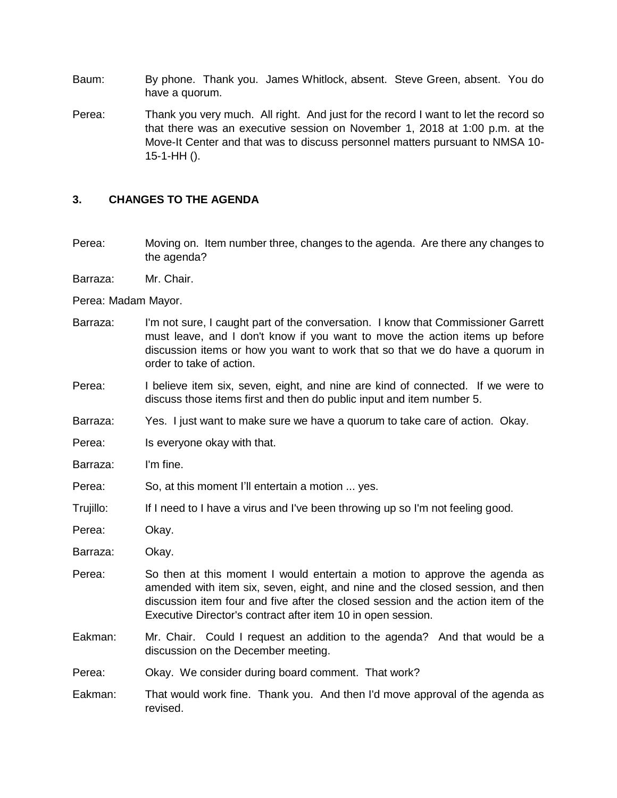- Baum: By phone. Thank you. James Whitlock, absent. Steve Green, absent. You do have a quorum.
- Perea: Thank you very much. All right. And just for the record I want to let the record so that there was an executive session on November 1, 2018 at 1:00 p.m. at the Move-It Center and that was to discuss personnel matters pursuant to NMSA 10- 15-1-HH ().

#### **3. CHANGES TO THE AGENDA**

- Perea: Moving on. Item number three, changes to the agenda. Are there any changes to the agenda?
- Barraza: Mr. Chair.

Perea: Madam Mayor.

- Barraza: I'm not sure, I caught part of the conversation. I know that Commissioner Garrett must leave, and I don't know if you want to move the action items up before discussion items or how you want to work that so that we do have a quorum in order to take of action.
- Perea: I believe item six, seven, eight, and nine are kind of connected. If we were to discuss those items first and then do public input and item number 5.
- Barraza: Yes. I just want to make sure we have a quorum to take care of action. Okay.
- Perea: Is everyone okay with that.

Barraza: I'm fine.

- Perea: So, at this moment I'll entertain a motion ... yes.
- Trujillo: If I need to I have a virus and I've been throwing up so I'm not feeling good.

Perea: Okay.

- Barraza: Okay.
- Perea: So then at this moment I would entertain a motion to approve the agenda as amended with item six, seven, eight, and nine and the closed session, and then discussion item four and five after the closed session and the action item of the Executive Director's contract after item 10 in open session.
- Eakman: Mr. Chair. Could I request an addition to the agenda? And that would be a discussion on the December meeting.
- Perea: Okay. We consider during board comment. That work?
- Eakman: That would work fine. Thank you. And then I'd move approval of the agenda as revised.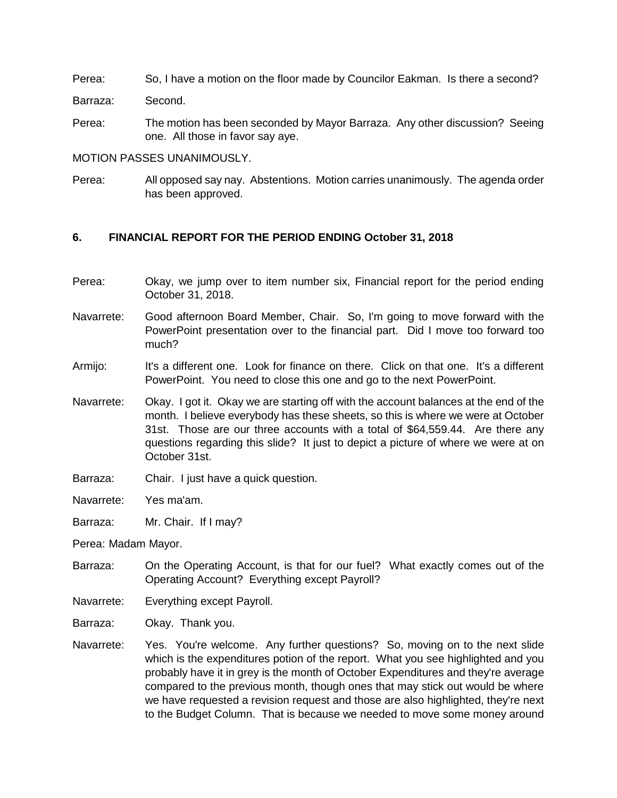Perea: So, I have a motion on the floor made by Councilor Eakman. Is there a second?

Barraza: Second.

Perea: The motion has been seconded by Mayor Barraza. Any other discussion? Seeing one. All those in favor say aye.

MOTION PASSES UNANIMOUSLY.

Perea: All opposed say nay. Abstentions. Motion carries unanimously. The agenda order has been approved.

## **6. FINANCIAL REPORT FOR THE PERIOD ENDING October 31, 2018**

- Perea: Okay, we jump over to item number six, Financial report for the period ending October 31, 2018.
- Navarrete: Good afternoon Board Member, Chair. So, I'm going to move forward with the PowerPoint presentation over to the financial part. Did I move too forward too much?
- Armijo: It's a different one. Look for finance on there. Click on that one. It's a different PowerPoint. You need to close this one and go to the next PowerPoint.
- Navarrete: Okay. I got it. Okay we are starting off with the account balances at the end of the month. I believe everybody has these sheets, so this is where we were at October 31st. Those are our three accounts with a total of \$64,559.44. Are there any questions regarding this slide? It just to depict a picture of where we were at on October 31st.
- Barraza: Chair. I just have a quick question.

Navarrete: Yes ma'am.

Barraza: Mr. Chair. If I may?

Perea: Madam Mayor.

- Barraza: On the Operating Account, is that for our fuel? What exactly comes out of the Operating Account? Everything except Payroll?
- Navarrete: Everything except Payroll.
- Barraza: Okay. Thank you.
- Navarrete: Yes. You're welcome. Any further questions? So, moving on to the next slide which is the expenditures potion of the report. What you see highlighted and you probably have it in grey is the month of October Expenditures and they're average compared to the previous month, though ones that may stick out would be where we have requested a revision request and those are also highlighted, they're next to the Budget Column. That is because we needed to move some money around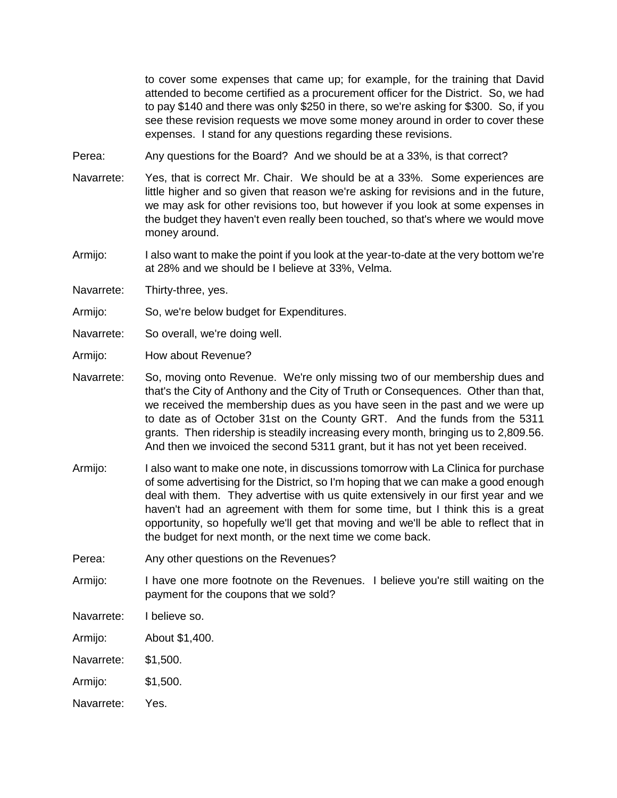to cover some expenses that came up; for example, for the training that David attended to become certified as a procurement officer for the District. So, we had to pay \$140 and there was only \$250 in there, so we're asking for \$300. So, if you see these revision requests we move some money around in order to cover these expenses. I stand for any questions regarding these revisions.

Perea: Any questions for the Board? And we should be at a 33%, is that correct?

- Navarrete: Yes, that is correct Mr. Chair. We should be at a 33%. Some experiences are little higher and so given that reason we're asking for revisions and in the future, we may ask for other revisions too, but however if you look at some expenses in the budget they haven't even really been touched, so that's where we would move money around.
- Armijo: I also want to make the point if you look at the year-to-date at the very bottom we're at 28% and we should be I believe at 33%, Velma.
- Navarrete: Thirty-three, yes.
- Armijo: So, we're below budget for Expenditures.
- Navarrete: So overall, we're doing well.
- Armijo: How about Revenue?
- Navarrete: So, moving onto Revenue. We're only missing two of our membership dues and that's the City of Anthony and the City of Truth or Consequences. Other than that, we received the membership dues as you have seen in the past and we were up to date as of October 31st on the County GRT. And the funds from the 5311 grants. Then ridership is steadily increasing every month, bringing us to 2,809.56. And then we invoiced the second 5311 grant, but it has not yet been received.
- Armijo: I also want to make one note, in discussions tomorrow with La Clinica for purchase of some advertising for the District, so I'm hoping that we can make a good enough deal with them. They advertise with us quite extensively in our first year and we haven't had an agreement with them for some time, but I think this is a great opportunity, so hopefully we'll get that moving and we'll be able to reflect that in the budget for next month, or the next time we come back.
- Perea: Any other questions on the Revenues?
- Armijo: I have one more footnote on the Revenues. I believe you're still waiting on the payment for the coupons that we sold?
- Navarrete: I believe so.
- Armijo: About \$1,400.
- Navarrete: \$1,500.
- Armijo: \$1,500.
- Navarrete: Yes.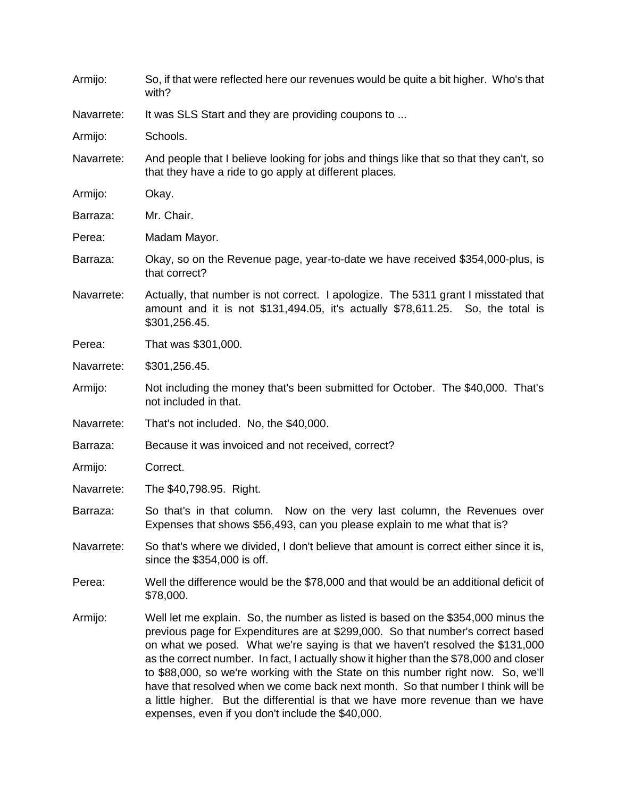| Armijo:    | So, if that were reflected here our revenues would be quite a bit higher. Who's that<br>with?                                                                                                                                                                                                                                                                                                                                                                                                                                                                                                                                                                  |  |  |  |  |  |
|------------|----------------------------------------------------------------------------------------------------------------------------------------------------------------------------------------------------------------------------------------------------------------------------------------------------------------------------------------------------------------------------------------------------------------------------------------------------------------------------------------------------------------------------------------------------------------------------------------------------------------------------------------------------------------|--|--|--|--|--|
| Navarrete: | It was SLS Start and they are providing coupons to                                                                                                                                                                                                                                                                                                                                                                                                                                                                                                                                                                                                             |  |  |  |  |  |
| Armijo:    | Schools.                                                                                                                                                                                                                                                                                                                                                                                                                                                                                                                                                                                                                                                       |  |  |  |  |  |
| Navarrete: | And people that I believe looking for jobs and things like that so that they can't, so<br>that they have a ride to go apply at different places.                                                                                                                                                                                                                                                                                                                                                                                                                                                                                                               |  |  |  |  |  |
| Armijo:    | Okay.                                                                                                                                                                                                                                                                                                                                                                                                                                                                                                                                                                                                                                                          |  |  |  |  |  |
| Barraza:   | Mr. Chair.                                                                                                                                                                                                                                                                                                                                                                                                                                                                                                                                                                                                                                                     |  |  |  |  |  |
| Perea:     | Madam Mayor.                                                                                                                                                                                                                                                                                                                                                                                                                                                                                                                                                                                                                                                   |  |  |  |  |  |
| Barraza:   | Okay, so on the Revenue page, year-to-date we have received \$354,000-plus, is<br>that correct?                                                                                                                                                                                                                                                                                                                                                                                                                                                                                                                                                                |  |  |  |  |  |
| Navarrete: | Actually, that number is not correct. I apologize. The 5311 grant I misstated that<br>amount and it is not \$131,494.05, it's actually \$78,611.25. So, the total is<br>\$301,256.45.                                                                                                                                                                                                                                                                                                                                                                                                                                                                          |  |  |  |  |  |
| Perea:     | That was \$301,000.                                                                                                                                                                                                                                                                                                                                                                                                                                                                                                                                                                                                                                            |  |  |  |  |  |
| Navarrete: | \$301,256.45.                                                                                                                                                                                                                                                                                                                                                                                                                                                                                                                                                                                                                                                  |  |  |  |  |  |
| Armijo:    | Not including the money that's been submitted for October. The \$40,000. That's<br>not included in that.                                                                                                                                                                                                                                                                                                                                                                                                                                                                                                                                                       |  |  |  |  |  |
| Navarrete: | That's not included. No, the \$40,000.                                                                                                                                                                                                                                                                                                                                                                                                                                                                                                                                                                                                                         |  |  |  |  |  |
| Barraza:   | Because it was invoiced and not received, correct?                                                                                                                                                                                                                                                                                                                                                                                                                                                                                                                                                                                                             |  |  |  |  |  |
| Armijo:    | Correct.                                                                                                                                                                                                                                                                                                                                                                                                                                                                                                                                                                                                                                                       |  |  |  |  |  |
| Navarrete: | The \$40,798.95. Right.                                                                                                                                                                                                                                                                                                                                                                                                                                                                                                                                                                                                                                        |  |  |  |  |  |
| Barraza:   | So that's in that column. Now on the very last column, the Revenues over<br>Expenses that shows \$56,493, can you please explain to me what that is?                                                                                                                                                                                                                                                                                                                                                                                                                                                                                                           |  |  |  |  |  |
| Navarrete: | So that's where we divided, I don't believe that amount is correct either since it is,<br>since the \$354,000 is off.                                                                                                                                                                                                                                                                                                                                                                                                                                                                                                                                          |  |  |  |  |  |
| Perea:     | Well the difference would be the \$78,000 and that would be an additional deficit of<br>\$78,000.                                                                                                                                                                                                                                                                                                                                                                                                                                                                                                                                                              |  |  |  |  |  |
| Armijo:    | Well let me explain. So, the number as listed is based on the \$354,000 minus the<br>previous page for Expenditures are at \$299,000. So that number's correct based<br>on what we posed. What we're saying is that we haven't resolved the \$131,000<br>as the correct number. In fact, I actually show it higher than the \$78,000 and closer<br>to \$88,000, so we're working with the State on this number right now. So, we'll<br>have that resolved when we come back next month. So that number I think will be<br>a little higher. But the differential is that we have more revenue than we have<br>expenses, even if you don't include the \$40,000. |  |  |  |  |  |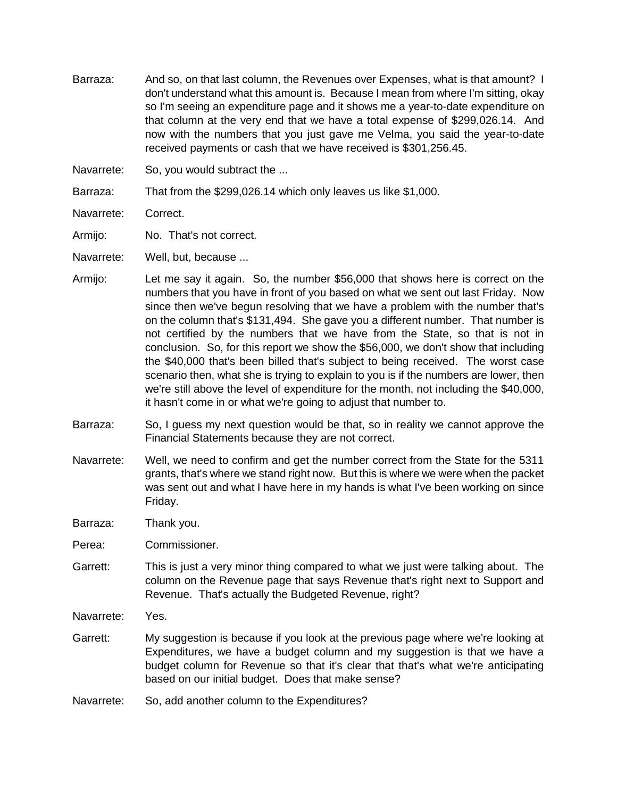- Barraza: And so, on that last column, the Revenues over Expenses, what is that amount? I don't understand what this amount is. Because I mean from where I'm sitting, okay so I'm seeing an expenditure page and it shows me a year-to-date expenditure on that column at the very end that we have a total expense of \$299,026.14. And now with the numbers that you just gave me Velma, you said the year-to-date received payments or cash that we have received is \$301,256.45.
- Navarrete: So, you would subtract the ...
- Barraza: That from the \$299,026.14 which only leaves us like \$1,000.
- Navarrete: Correct.
- Armijo: No. That's not correct.
- Navarrete: Well, but, because ...
- Armijo: Let me say it again. So, the number \$56,000 that shows here is correct on the numbers that you have in front of you based on what we sent out last Friday. Now since then we've begun resolving that we have a problem with the number that's on the column that's \$131,494. She gave you a different number. That number is not certified by the numbers that we have from the State, so that is not in conclusion. So, for this report we show the \$56,000, we don't show that including the \$40,000 that's been billed that's subject to being received. The worst case scenario then, what she is trying to explain to you is if the numbers are lower, then we're still above the level of expenditure for the month, not including the \$40,000, it hasn't come in or what we're going to adjust that number to.
- Barraza: So, I guess my next question would be that, so in reality we cannot approve the Financial Statements because they are not correct.
- Navarrete: Well, we need to confirm and get the number correct from the State for the 5311 grants, that's where we stand right now. But this is where we were when the packet was sent out and what I have here in my hands is what I've been working on since Friday.
- Barraza: Thank you.
- Perea: Commissioner.
- Garrett: This is just a very minor thing compared to what we just were talking about. The column on the Revenue page that says Revenue that's right next to Support and Revenue. That's actually the Budgeted Revenue, right?
- Navarrete: Yes.
- Garrett: My suggestion is because if you look at the previous page where we're looking at Expenditures, we have a budget column and my suggestion is that we have a budget column for Revenue so that it's clear that that's what we're anticipating based on our initial budget. Does that make sense?
- Navarrete: So, add another column to the Expenditures?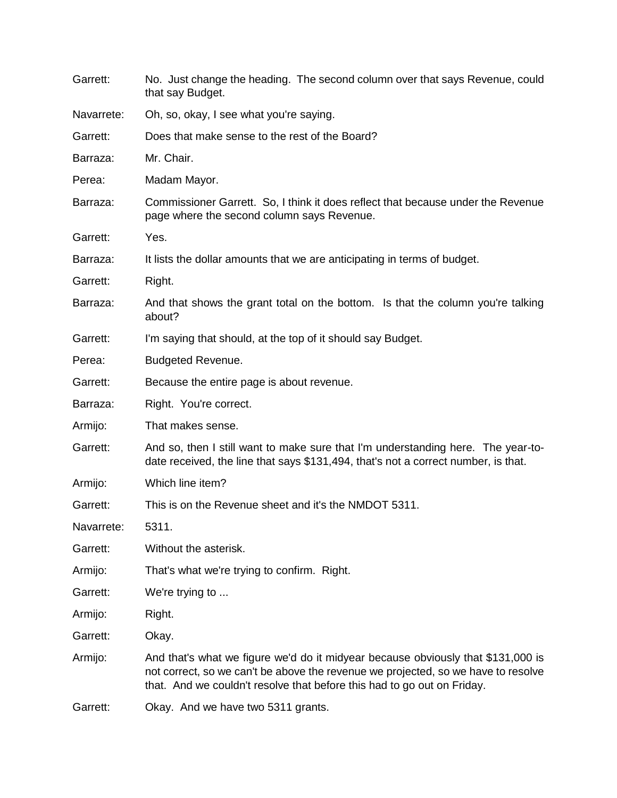| Garrett:   | No. Just change the heading. The second column over that says Revenue, could<br>that say Budget.                                                                                                                                                 |  |  |  |  |  |  |
|------------|--------------------------------------------------------------------------------------------------------------------------------------------------------------------------------------------------------------------------------------------------|--|--|--|--|--|--|
| Navarrete: | Oh, so, okay, I see what you're saying.                                                                                                                                                                                                          |  |  |  |  |  |  |
| Garrett:   | Does that make sense to the rest of the Board?                                                                                                                                                                                                   |  |  |  |  |  |  |
| Barraza:   | Mr. Chair.                                                                                                                                                                                                                                       |  |  |  |  |  |  |
| Perea:     | Madam Mayor.                                                                                                                                                                                                                                     |  |  |  |  |  |  |
| Barraza:   | Commissioner Garrett. So, I think it does reflect that because under the Revenue<br>page where the second column says Revenue.                                                                                                                   |  |  |  |  |  |  |
| Garrett:   | Yes.                                                                                                                                                                                                                                             |  |  |  |  |  |  |
| Barraza:   | It lists the dollar amounts that we are anticipating in terms of budget.                                                                                                                                                                         |  |  |  |  |  |  |
| Garrett:   | Right.                                                                                                                                                                                                                                           |  |  |  |  |  |  |
| Barraza:   | And that shows the grant total on the bottom. Is that the column you're talking<br>about?                                                                                                                                                        |  |  |  |  |  |  |
| Garrett:   | I'm saying that should, at the top of it should say Budget.                                                                                                                                                                                      |  |  |  |  |  |  |
| Perea:     | <b>Budgeted Revenue.</b>                                                                                                                                                                                                                         |  |  |  |  |  |  |
| Garrett:   | Because the entire page is about revenue.                                                                                                                                                                                                        |  |  |  |  |  |  |
| Barraza:   | Right. You're correct.                                                                                                                                                                                                                           |  |  |  |  |  |  |
| Armijo:    | That makes sense.                                                                                                                                                                                                                                |  |  |  |  |  |  |
| Garrett:   | And so, then I still want to make sure that I'm understanding here. The year-to-<br>date received, the line that says \$131,494, that's not a correct number, is that.                                                                           |  |  |  |  |  |  |
| Armijo:    | Which line item?                                                                                                                                                                                                                                 |  |  |  |  |  |  |
| Garrett:   | This is on the Revenue sheet and it's the NMDOT 5311.                                                                                                                                                                                            |  |  |  |  |  |  |
| Navarrete: | 5311.                                                                                                                                                                                                                                            |  |  |  |  |  |  |
| Garrett:   | Without the asterisk.                                                                                                                                                                                                                            |  |  |  |  |  |  |
| Armijo:    | That's what we're trying to confirm. Right.                                                                                                                                                                                                      |  |  |  |  |  |  |
| Garrett:   | We're trying to                                                                                                                                                                                                                                  |  |  |  |  |  |  |
| Armijo:    | Right.                                                                                                                                                                                                                                           |  |  |  |  |  |  |
| Garrett:   | Okay.                                                                                                                                                                                                                                            |  |  |  |  |  |  |
| Armijo:    | And that's what we figure we'd do it midyear because obviously that \$131,000 is<br>not correct, so we can't be above the revenue we projected, so we have to resolve<br>that. And we couldn't resolve that before this had to go out on Friday. |  |  |  |  |  |  |
| Garrett:   | Okay. And we have two 5311 grants.                                                                                                                                                                                                               |  |  |  |  |  |  |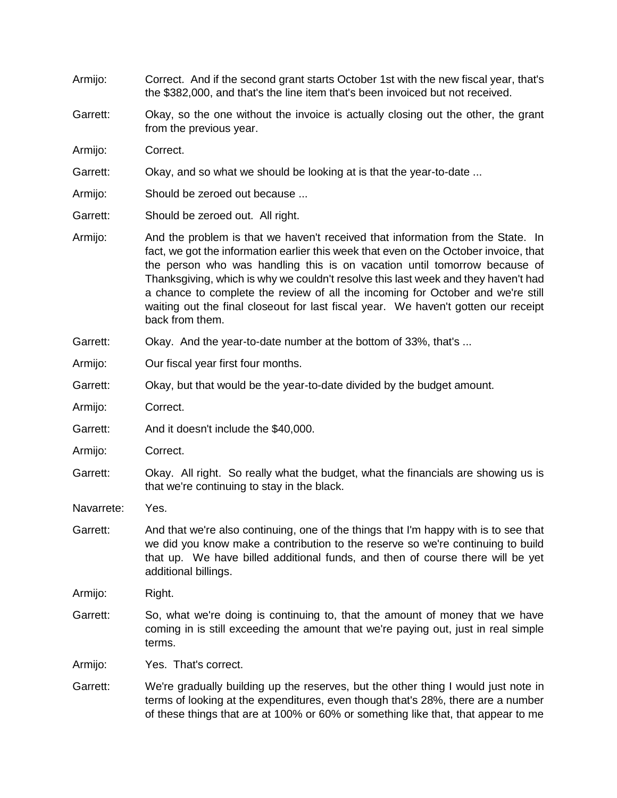| Armijo:    | Correct. And if the second grant starts October 1st with the new fiscal year, that's<br>the \$382,000, and that's the line item that's been invoiced but not received.                                                                                                                                                                                                                                                                                                                                                                  |  |  |  |  |  |
|------------|-----------------------------------------------------------------------------------------------------------------------------------------------------------------------------------------------------------------------------------------------------------------------------------------------------------------------------------------------------------------------------------------------------------------------------------------------------------------------------------------------------------------------------------------|--|--|--|--|--|
| Garrett:   | Okay, so the one without the invoice is actually closing out the other, the grant<br>from the previous year.                                                                                                                                                                                                                                                                                                                                                                                                                            |  |  |  |  |  |
| Armijo:    | Correct.                                                                                                                                                                                                                                                                                                                                                                                                                                                                                                                                |  |  |  |  |  |
| Garrett:   | Okay, and so what we should be looking at is that the year-to-date                                                                                                                                                                                                                                                                                                                                                                                                                                                                      |  |  |  |  |  |
| Armijo:    | Should be zeroed out because                                                                                                                                                                                                                                                                                                                                                                                                                                                                                                            |  |  |  |  |  |
| Garrett:   | Should be zeroed out. All right.                                                                                                                                                                                                                                                                                                                                                                                                                                                                                                        |  |  |  |  |  |
| Armijo:    | And the problem is that we haven't received that information from the State. In<br>fact, we got the information earlier this week that even on the October invoice, that<br>the person who was handling this is on vacation until tomorrow because of<br>Thanksgiving, which is why we couldn't resolve this last week and they haven't had<br>a chance to complete the review of all the incoming for October and we're still<br>waiting out the final closeout for last fiscal year. We haven't gotten our receipt<br>back from them. |  |  |  |  |  |
| Garrett:   | Okay. And the year-to-date number at the bottom of 33%, that's                                                                                                                                                                                                                                                                                                                                                                                                                                                                          |  |  |  |  |  |
| Armijo:    | Our fiscal year first four months.                                                                                                                                                                                                                                                                                                                                                                                                                                                                                                      |  |  |  |  |  |
| Garrett:   | Okay, but that would be the year-to-date divided by the budget amount.                                                                                                                                                                                                                                                                                                                                                                                                                                                                  |  |  |  |  |  |
| Armijo:    | Correct.                                                                                                                                                                                                                                                                                                                                                                                                                                                                                                                                |  |  |  |  |  |
| Garrett:   | And it doesn't include the \$40,000.                                                                                                                                                                                                                                                                                                                                                                                                                                                                                                    |  |  |  |  |  |
| Armijo:    | Correct.                                                                                                                                                                                                                                                                                                                                                                                                                                                                                                                                |  |  |  |  |  |
| Garrett:   | Okay. All right. So really what the budget, what the financials are showing us is<br>that we're continuing to stay in the black.                                                                                                                                                                                                                                                                                                                                                                                                        |  |  |  |  |  |
| Navarrete: | Yes.                                                                                                                                                                                                                                                                                                                                                                                                                                                                                                                                    |  |  |  |  |  |
| Garrett:   | And that we're also continuing, one of the things that I'm happy with is to see that<br>we did you know make a contribution to the reserve so we're continuing to build<br>that up. We have billed additional funds, and then of course there will be yet<br>additional billings.                                                                                                                                                                                                                                                       |  |  |  |  |  |
| Armijo:    | Right.                                                                                                                                                                                                                                                                                                                                                                                                                                                                                                                                  |  |  |  |  |  |
| Garrett:   | So, what we're doing is continuing to, that the amount of money that we have<br>coming in is still exceeding the amount that we're paying out, just in real simple<br>terms.                                                                                                                                                                                                                                                                                                                                                            |  |  |  |  |  |
| Armijo:    | Yes. That's correct.                                                                                                                                                                                                                                                                                                                                                                                                                                                                                                                    |  |  |  |  |  |
| Garrett:   | We're gradually building up the reserves, but the other thing I would just note in<br>terms of looking at the expenditures, even though that's 28%, there are a number<br>of these things that are at 100% or 60% or something like that, that appear to me                                                                                                                                                                                                                                                                             |  |  |  |  |  |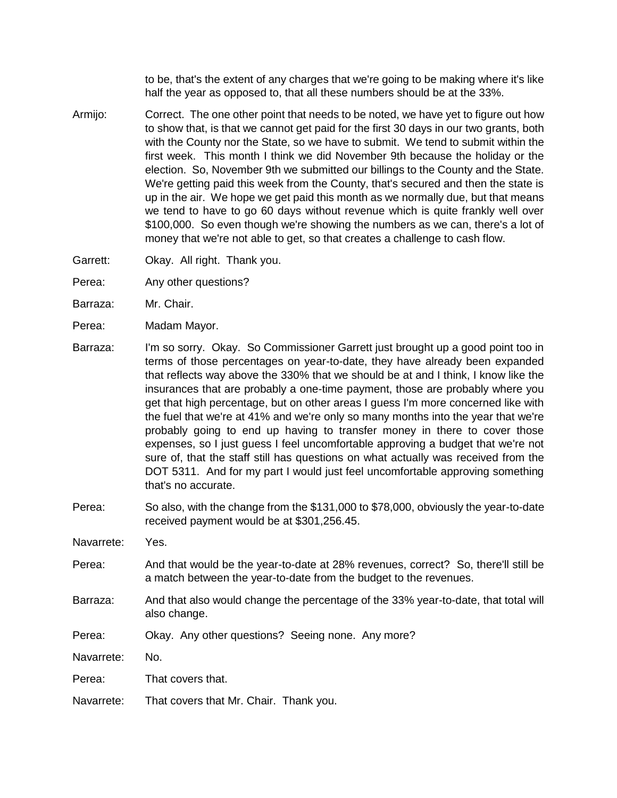to be, that's the extent of any charges that we're going to be making where it's like half the year as opposed to, that all these numbers should be at the 33%.

- Armijo: Correct. The one other point that needs to be noted, we have yet to figure out how to show that, is that we cannot get paid for the first 30 days in our two grants, both with the County nor the State, so we have to submit. We tend to submit within the first week. This month I think we did November 9th because the holiday or the election. So, November 9th we submitted our billings to the County and the State. We're getting paid this week from the County, that's secured and then the state is up in the air. We hope we get paid this month as we normally due, but that means we tend to have to go 60 days without revenue which is quite frankly well over \$100,000. So even though we're showing the numbers as we can, there's a lot of money that we're not able to get, so that creates a challenge to cash flow.
- Garrett: Okay. All right. Thank you.
- Perea: Any other questions?
- Barraza: Mr. Chair.
- Perea: Madam Mayor.
- Barraza: I'm so sorry. Okay. So Commissioner Garrett just brought up a good point too in terms of those percentages on year-to-date, they have already been expanded that reflects way above the 330% that we should be at and I think, I know like the insurances that are probably a one-time payment, those are probably where you get that high percentage, but on other areas I guess I'm more concerned like with the fuel that we're at 41% and we're only so many months into the year that we're probably going to end up having to transfer money in there to cover those expenses, so I just guess I feel uncomfortable approving a budget that we're not sure of, that the staff still has questions on what actually was received from the DOT 5311. And for my part I would just feel uncomfortable approving something that's no accurate.
- Perea: So also, with the change from the \$131,000 to \$78,000, obviously the year-to-date received payment would be at \$301,256.45.
- Navarrete: Yes.
- Perea: And that would be the year-to-date at 28% revenues, correct? So, there'll still be a match between the year-to-date from the budget to the revenues.
- Barraza: And that also would change the percentage of the 33% year-to-date, that total will also change.
- Perea: Okay. Any other questions? Seeing none. Any more?
- Navarrete: No.
- Perea: That covers that.
- Navarrete: That covers that Mr. Chair. Thank you.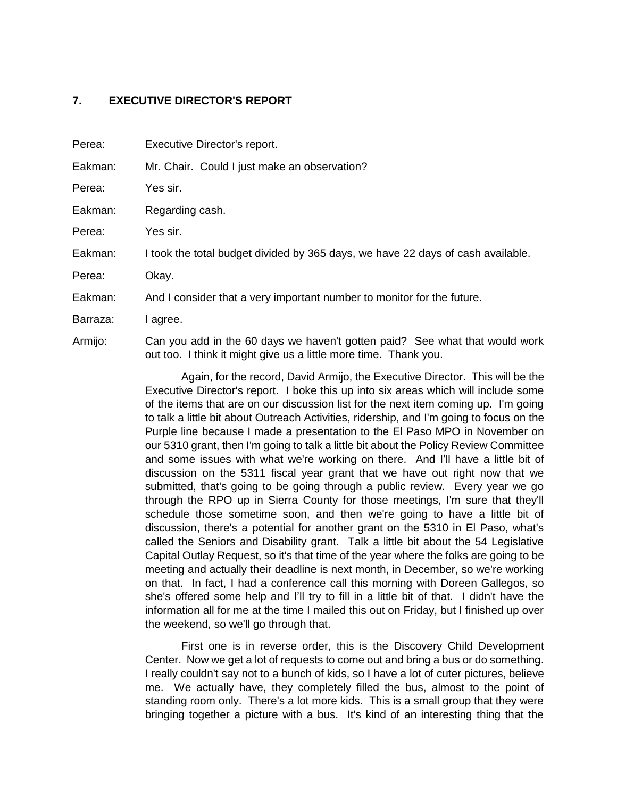#### **7. EXECUTIVE DIRECTOR'S REPORT**

| Perea:   | Executive Director's report.                                                    |  |  |  |  |  |  |
|----------|---------------------------------------------------------------------------------|--|--|--|--|--|--|
| Eakman:  | Mr. Chair. Could I just make an observation?                                    |  |  |  |  |  |  |
| Perea:   | Yes sir.                                                                        |  |  |  |  |  |  |
| Eakman:  | Regarding cash.                                                                 |  |  |  |  |  |  |
| Perea:   | Yes sir.                                                                        |  |  |  |  |  |  |
| Eakman:  | I took the total budget divided by 365 days, we have 22 days of cash available. |  |  |  |  |  |  |
| Perea:   | Okay.                                                                           |  |  |  |  |  |  |
| Eakman:  | And I consider that a very important number to monitor for the future.          |  |  |  |  |  |  |
| Barraza: | I agree.                                                                        |  |  |  |  |  |  |
| Armijo:  | Can you add in the 60 days we haven't gotten paid? See what that would work     |  |  |  |  |  |  |

out too. I think it might give us a little more time. Thank you.

Again, for the record, David Armijo, the Executive Director. This will be the Executive Director's report. I boke this up into six areas which will include some of the items that are on our discussion list for the next item coming up. I'm going to talk a little bit about Outreach Activities, ridership, and I'm going to focus on the Purple line because I made a presentation to the El Paso MPO in November on our 5310 grant, then I'm going to talk a little bit about the Policy Review Committee and some issues with what we're working on there. And I'll have a little bit of discussion on the 5311 fiscal year grant that we have out right now that we submitted, that's going to be going through a public review. Every year we go through the RPO up in Sierra County for those meetings, I'm sure that they'll schedule those sometime soon, and then we're going to have a little bit of discussion, there's a potential for another grant on the 5310 in El Paso, what's called the Seniors and Disability grant. Talk a little bit about the 54 Legislative Capital Outlay Request, so it's that time of the year where the folks are going to be meeting and actually their deadline is next month, in December, so we're working on that. In fact, I had a conference call this morning with Doreen Gallegos, so she's offered some help and I'll try to fill in a little bit of that. I didn't have the information all for me at the time I mailed this out on Friday, but I finished up over the weekend, so we'll go through that.

First one is in reverse order, this is the Discovery Child Development Center. Now we get a lot of requests to come out and bring a bus or do something. I really couldn't say not to a bunch of kids, so I have a lot of cuter pictures, believe me. We actually have, they completely filled the bus, almost to the point of standing room only. There's a lot more kids. This is a small group that they were bringing together a picture with a bus. It's kind of an interesting thing that the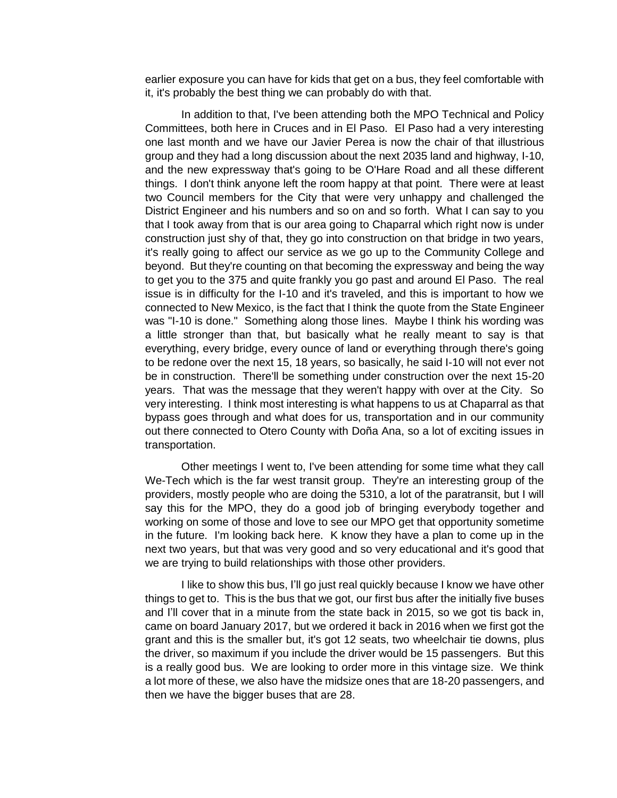earlier exposure you can have for kids that get on a bus, they feel comfortable with it, it's probably the best thing we can probably do with that.

In addition to that, I've been attending both the MPO Technical and Policy Committees, both here in Cruces and in El Paso. El Paso had a very interesting one last month and we have our Javier Perea is now the chair of that illustrious group and they had a long discussion about the next 2035 land and highway, I-10, and the new expressway that's going to be O'Hare Road and all these different things. I don't think anyone left the room happy at that point. There were at least two Council members for the City that were very unhappy and challenged the District Engineer and his numbers and so on and so forth. What I can say to you that I took away from that is our area going to Chaparral which right now is under construction just shy of that, they go into construction on that bridge in two years, it's really going to affect our service as we go up to the Community College and beyond. But they're counting on that becoming the expressway and being the way to get you to the 375 and quite frankly you go past and around El Paso. The real issue is in difficulty for the I-10 and it's traveled, and this is important to how we connected to New Mexico, is the fact that I think the quote from the State Engineer was "I-10 is done." Something along those lines. Maybe I think his wording was a little stronger than that, but basically what he really meant to say is that everything, every bridge, every ounce of land or everything through there's going to be redone over the next 15, 18 years, so basically, he said I-10 will not ever not be in construction. There'll be something under construction over the next 15-20 years. That was the message that they weren't happy with over at the City. So very interesting. I think most interesting is what happens to us at Chaparral as that bypass goes through and what does for us, transportation and in our community out there connected to Otero County with Doña Ana, so a lot of exciting issues in transportation.

Other meetings I went to, I've been attending for some time what they call We-Tech which is the far west transit group. They're an interesting group of the providers, mostly people who are doing the 5310, a lot of the paratransit, but I will say this for the MPO, they do a good job of bringing everybody together and working on some of those and love to see our MPO get that opportunity sometime in the future. I'm looking back here. K know they have a plan to come up in the next two years, but that was very good and so very educational and it's good that we are trying to build relationships with those other providers.

I like to show this bus, I'll go just real quickly because I know we have other things to get to. This is the bus that we got, our first bus after the initially five buses and I'll cover that in a minute from the state back in 2015, so we got tis back in, came on board January 2017, but we ordered it back in 2016 when we first got the grant and this is the smaller but, it's got 12 seats, two wheelchair tie downs, plus the driver, so maximum if you include the driver would be 15 passengers. But this is a really good bus. We are looking to order more in this vintage size. We think a lot more of these, we also have the midsize ones that are 18-20 passengers, and then we have the bigger buses that are 28.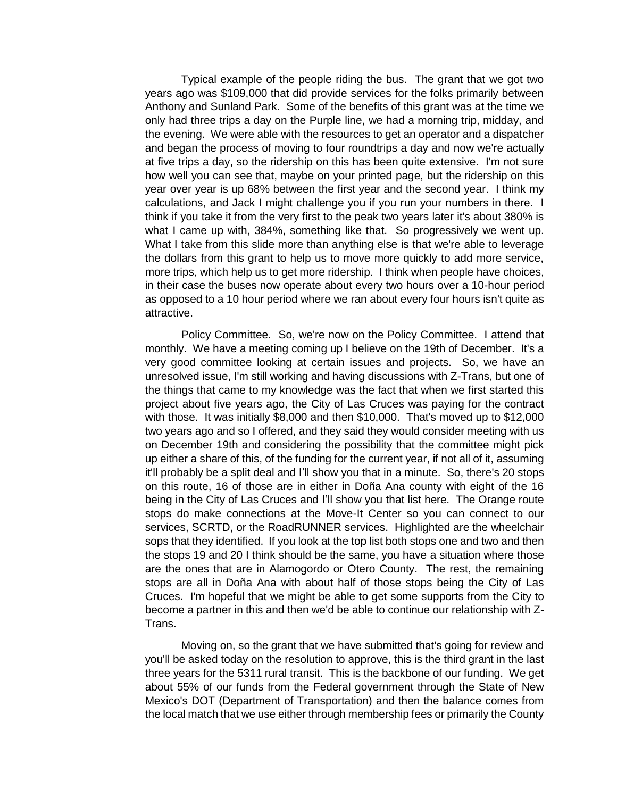Typical example of the people riding the bus. The grant that we got two years ago was \$109,000 that did provide services for the folks primarily between Anthony and Sunland Park. Some of the benefits of this grant was at the time we only had three trips a day on the Purple line, we had a morning trip, midday, and the evening. We were able with the resources to get an operator and a dispatcher and began the process of moving to four roundtrips a day and now we're actually at five trips a day, so the ridership on this has been quite extensive. I'm not sure how well you can see that, maybe on your printed page, but the ridership on this year over year is up 68% between the first year and the second year. I think my calculations, and Jack I might challenge you if you run your numbers in there. I think if you take it from the very first to the peak two years later it's about 380% is what I came up with, 384%, something like that. So progressively we went up. What I take from this slide more than anything else is that we're able to leverage the dollars from this grant to help us to move more quickly to add more service, more trips, which help us to get more ridership. I think when people have choices, in their case the buses now operate about every two hours over a 10-hour period as opposed to a 10 hour period where we ran about every four hours isn't quite as attractive.

Policy Committee. So, we're now on the Policy Committee. I attend that monthly. We have a meeting coming up I believe on the 19th of December. It's a very good committee looking at certain issues and projects. So, we have an unresolved issue, I'm still working and having discussions with Z-Trans, but one of the things that came to my knowledge was the fact that when we first started this project about five years ago, the City of Las Cruces was paying for the contract with those. It was initially \$8,000 and then \$10,000. That's moved up to \$12,000 two years ago and so I offered, and they said they would consider meeting with us on December 19th and considering the possibility that the committee might pick up either a share of this, of the funding for the current year, if not all of it, assuming it'll probably be a split deal and I'll show you that in a minute. So, there's 20 stops on this route, 16 of those are in either in Doña Ana county with eight of the 16 being in the City of Las Cruces and I'll show you that list here. The Orange route stops do make connections at the Move-It Center so you can connect to our services, SCRTD, or the RoadRUNNER services. Highlighted are the wheelchair sops that they identified. If you look at the top list both stops one and two and then the stops 19 and 20 I think should be the same, you have a situation where those are the ones that are in Alamogordo or Otero County. The rest, the remaining stops are all in Doña Ana with about half of those stops being the City of Las Cruces. I'm hopeful that we might be able to get some supports from the City to become a partner in this and then we'd be able to continue our relationship with Z-Trans.

Moving on, so the grant that we have submitted that's going for review and you'll be asked today on the resolution to approve, this is the third grant in the last three years for the 5311 rural transit. This is the backbone of our funding. We get about 55% of our funds from the Federal government through the State of New Mexico's DOT (Department of Transportation) and then the balance comes from the local match that we use either through membership fees or primarily the County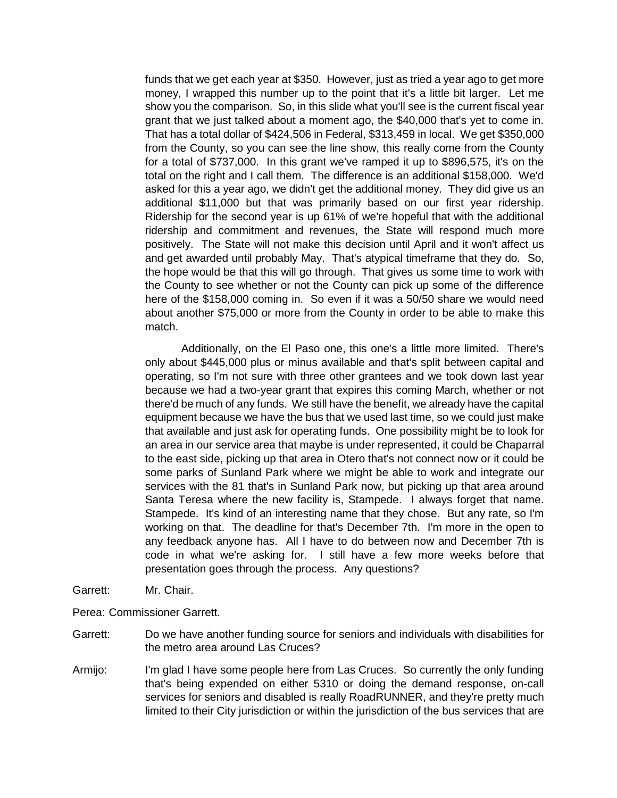funds that we get each year at \$350. However, just as tried a year ago to get more money, I wrapped this number up to the point that it's a little bit larger. Let me show you the comparison. So, in this slide what you'll see is the current fiscal year grant that we just talked about a moment ago, the \$40,000 that's yet to come in. That has a total dollar of \$424,506 in Federal, \$313,459 in local. We get \$350,000 from the County, so you can see the line show, this really come from the County for a total of \$737,000. In this grant we've ramped it up to \$896,575, it's on the total on the right and I call them. The difference is an additional \$158,000. We'd asked for this a year ago, we didn't get the additional money. They did give us an additional \$11,000 but that was primarily based on our first year ridership. Ridership for the second year is up 61% of we're hopeful that with the additional ridership and commitment and revenues, the State will respond much more positively. The State will not make this decision until April and it won't affect us and get awarded until probably May. That's atypical timeframe that they do. So, the hope would be that this will go through. That gives us some time to work with the County to see whether or not the County can pick up some of the difference here of the \$158,000 coming in. So even if it was a 50/50 share we would need about another \$75,000 or more from the County in order to be able to make this match.

Additionally, on the El Paso one, this one's a little more limited. There's only about \$445,000 plus or minus available and that's split between capital and operating, so I'm not sure with three other grantees and we took down last year because we had a two-year grant that expires this coming March, whether or not there'd be much of any funds. We still have the benefit, we already have the capital equipment because we have the bus that we used last time, so we could just make that available and just ask for operating funds. One possibility might be to look for an area in our service area that maybe is under represented, it could be Chaparral to the east side, picking up that area in Otero that's not connect now or it could be some parks of Sunland Park where we might be able to work and integrate our services with the 81 that's in Sunland Park now, but picking up that area around Santa Teresa where the new facility is, Stampede. I always forget that name. Stampede. It's kind of an interesting name that they chose. But any rate, so I'm working on that. The deadline for that's December 7th. I'm more in the open to any feedback anyone has. All I have to do between now and December 7th is code in what we're asking for. I still have a few more weeks before that presentation goes through the process. Any questions?

Garrett: Mr. Chair.

Perea: Commissioner Garrett.

- Garrett: Do we have another funding source for seniors and individuals with disabilities for the metro area around Las Cruces?
- Armijo: I'm glad I have some people here from Las Cruces. So currently the only funding that's being expended on either 5310 or doing the demand response, on-call services for seniors and disabled is really RoadRUNNER, and they're pretty much limited to their City jurisdiction or within the jurisdiction of the bus services that are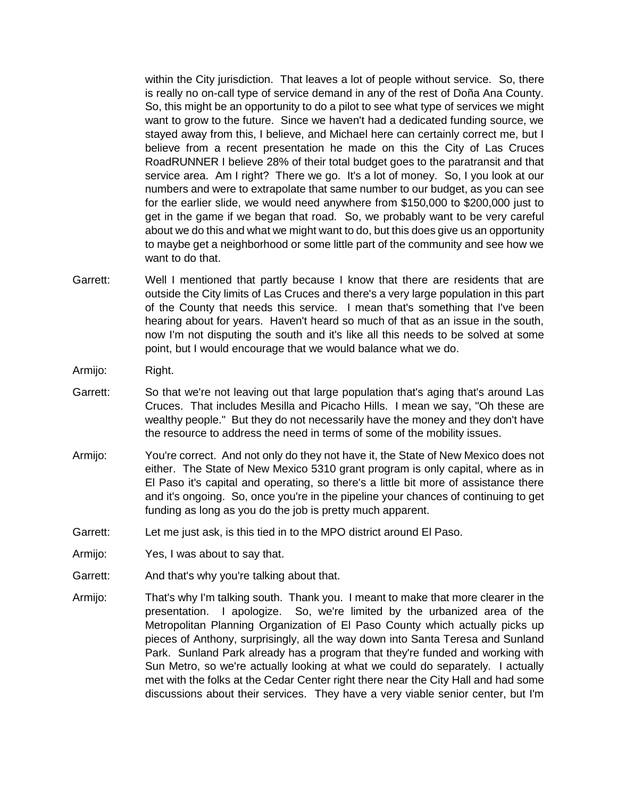within the City jurisdiction. That leaves a lot of people without service. So, there is really no on-call type of service demand in any of the rest of Doña Ana County. So, this might be an opportunity to do a pilot to see what type of services we might want to grow to the future. Since we haven't had a dedicated funding source, we stayed away from this, I believe, and Michael here can certainly correct me, but I believe from a recent presentation he made on this the City of Las Cruces RoadRUNNER I believe 28% of their total budget goes to the paratransit and that service area. Am I right? There we go. It's a lot of money. So, I you look at our numbers and were to extrapolate that same number to our budget, as you can see for the earlier slide, we would need anywhere from \$150,000 to \$200,000 just to get in the game if we began that road. So, we probably want to be very careful about we do this and what we might want to do, but this does give us an opportunity to maybe get a neighborhood or some little part of the community and see how we want to do that.

- Garrett: Well I mentioned that partly because I know that there are residents that are outside the City limits of Las Cruces and there's a very large population in this part of the County that needs this service. I mean that's something that I've been hearing about for years. Haven't heard so much of that as an issue in the south, now I'm not disputing the south and it's like all this needs to be solved at some point, but I would encourage that we would balance what we do.
- Armijo: Right.
- Garrett: So that we're not leaving out that large population that's aging that's around Las Cruces. That includes Mesilla and Picacho Hills. I mean we say, "Oh these are wealthy people." But they do not necessarily have the money and they don't have the resource to address the need in terms of some of the mobility issues.
- Armijo: You're correct. And not only do they not have it, the State of New Mexico does not either. The State of New Mexico 5310 grant program is only capital, where as in El Paso it's capital and operating, so there's a little bit more of assistance there and it's ongoing. So, once you're in the pipeline your chances of continuing to get funding as long as you do the job is pretty much apparent.
- Garrett: Let me just ask, is this tied in to the MPO district around El Paso.
- Armijo: Yes, I was about to say that.
- Garrett: And that's why you're talking about that.
- Armijo: That's why I'm talking south. Thank you. I meant to make that more clearer in the presentation. I apologize. So, we're limited by the urbanized area of the Metropolitan Planning Organization of El Paso County which actually picks up pieces of Anthony, surprisingly, all the way down into Santa Teresa and Sunland Park. Sunland Park already has a program that they're funded and working with Sun Metro, so we're actually looking at what we could do separately. I actually met with the folks at the Cedar Center right there near the City Hall and had some discussions about their services. They have a very viable senior center, but I'm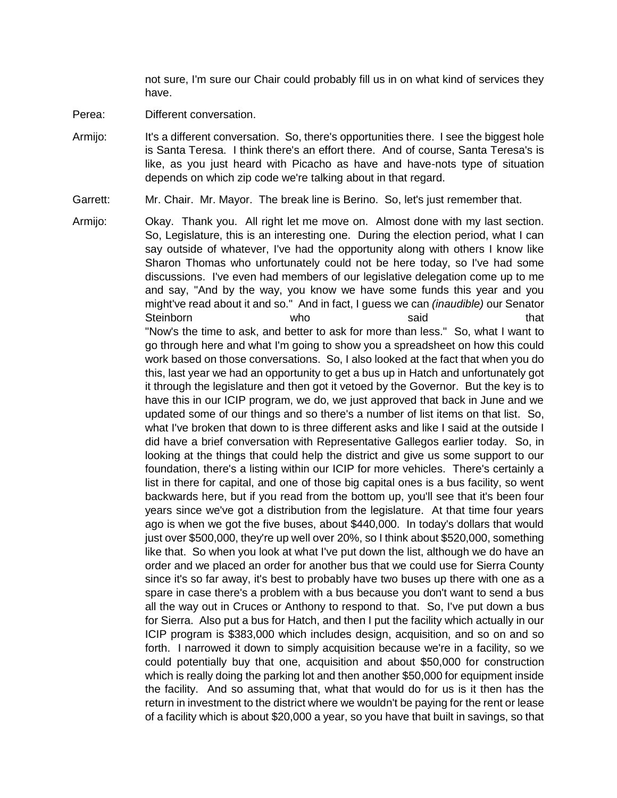not sure, I'm sure our Chair could probably fill us in on what kind of services they have.

- Perea: Different conversation.
- Armijo: It's a different conversation. So, there's opportunities there. I see the biggest hole is Santa Teresa. I think there's an effort there. And of course, Santa Teresa's is like, as you just heard with Picacho as have and have-nots type of situation depends on which zip code we're talking about in that regard.
- Garrett: Mr. Chair. Mr. Mayor. The break line is Berino. So, let's just remember that.
- Armijo: Okay. Thank you. All right let me move on. Almost done with my last section. So, Legislature, this is an interesting one. During the election period, what I can say outside of whatever, I've had the opportunity along with others I know like Sharon Thomas who unfortunately could not be here today, so I've had some discussions. I've even had members of our legislative delegation come up to me and say, "And by the way, you know we have some funds this year and you might've read about it and so." And in fact, I guess we can *(inaudible)* our Senator Steinborn who who said that "Now's the time to ask, and better to ask for more than less." So, what I want to go through here and what I'm going to show you a spreadsheet on how this could work based on those conversations. So, I also looked at the fact that when you do this, last year we had an opportunity to get a bus up in Hatch and unfortunately got it through the legislature and then got it vetoed by the Governor. But the key is to have this in our ICIP program, we do, we just approved that back in June and we updated some of our things and so there's a number of list items on that list. So, what I've broken that down to is three different asks and like I said at the outside I did have a brief conversation with Representative Gallegos earlier today. So, in looking at the things that could help the district and give us some support to our foundation, there's a listing within our ICIP for more vehicles. There's certainly a list in there for capital, and one of those big capital ones is a bus facility, so went backwards here, but if you read from the bottom up, you'll see that it's been four years since we've got a distribution from the legislature. At that time four years ago is when we got the five buses, about \$440,000. In today's dollars that would just over \$500,000, they're up well over 20%, so I think about \$520,000, something like that. So when you look at what I've put down the list, although we do have an order and we placed an order for another bus that we could use for Sierra County since it's so far away, it's best to probably have two buses up there with one as a spare in case there's a problem with a bus because you don't want to send a bus all the way out in Cruces or Anthony to respond to that. So, I've put down a bus for Sierra. Also put a bus for Hatch, and then I put the facility which actually in our ICIP program is \$383,000 which includes design, acquisition, and so on and so forth. I narrowed it down to simply acquisition because we're in a facility, so we could potentially buy that one, acquisition and about \$50,000 for construction which is really doing the parking lot and then another \$50,000 for equipment inside the facility. And so assuming that, what that would do for us is it then has the return in investment to the district where we wouldn't be paying for the rent or lease of a facility which is about \$20,000 a year, so you have that built in savings, so that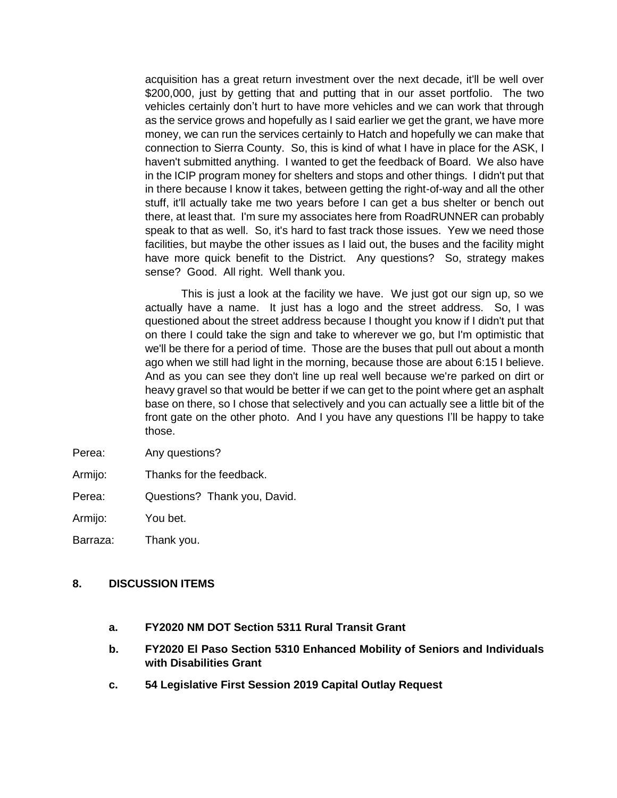acquisition has a great return investment over the next decade, it'll be well over \$200,000, just by getting that and putting that in our asset portfolio. The two vehicles certainly don't hurt to have more vehicles and we can work that through as the service grows and hopefully as I said earlier we get the grant, we have more money, we can run the services certainly to Hatch and hopefully we can make that connection to Sierra County. So, this is kind of what I have in place for the ASK, I haven't submitted anything. I wanted to get the feedback of Board. We also have in the ICIP program money for shelters and stops and other things. I didn't put that in there because I know it takes, between getting the right-of-way and all the other stuff, it'll actually take me two years before I can get a bus shelter or bench out there, at least that. I'm sure my associates here from RoadRUNNER can probably speak to that as well. So, it's hard to fast track those issues. Yew we need those facilities, but maybe the other issues as I laid out, the buses and the facility might have more quick benefit to the District. Any questions? So, strategy makes sense? Good. All right. Well thank you.

This is just a look at the facility we have. We just got our sign up, so we actually have a name. It just has a logo and the street address. So, I was questioned about the street address because I thought you know if I didn't put that on there I could take the sign and take to wherever we go, but I'm optimistic that we'll be there for a period of time. Those are the buses that pull out about a month ago when we still had light in the morning, because those are about 6:15 I believe. And as you can see they don't line up real well because we're parked on dirt or heavy gravel so that would be better if we can get to the point where get an asphalt base on there, so I chose that selectively and you can actually see a little bit of the front gate on the other photo. And I you have any questions I'll be happy to take those.

- Perea: Any questions?
- Armijo: Thanks for the feedback.

Perea: Questions? Thank you, David.

Armijo: You bet.

Barraza: Thank you.

#### **8. DISCUSSION ITEMS**

- **a. FY2020 NM DOT Section 5311 Rural Transit Grant**
- **b. FY2020 El Paso Section 5310 Enhanced Mobility of Seniors and Individuals with Disabilities Grant**
- **c. 54 Legislative First Session 2019 Capital Outlay Request**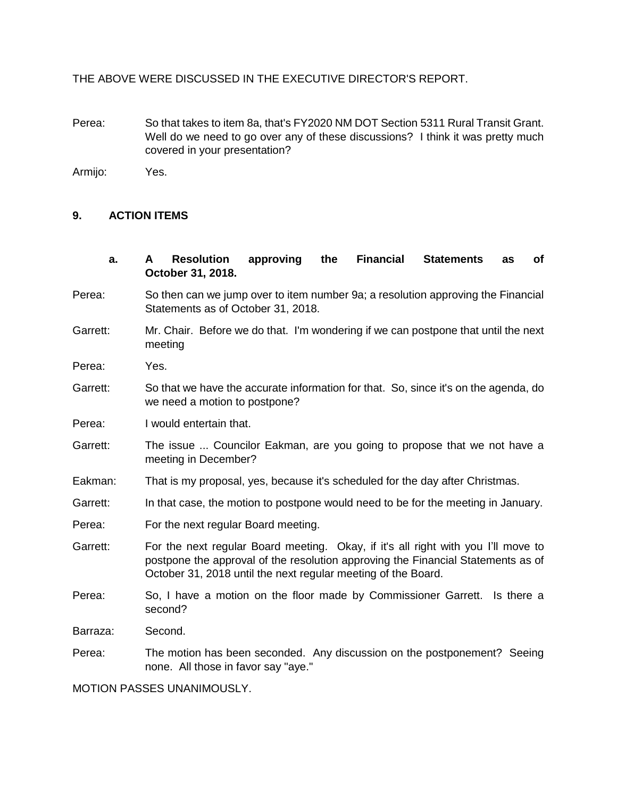THE ABOVE WERE DISCUSSED IN THE EXECUTIVE DIRECTOR'S REPORT.

Perea: So that takes to item 8a, that's FY2020 NM DOT Section 5311 Rural Transit Grant. Well do we need to go over any of these discussions? I think it was pretty much covered in your presentation?

Armijo: Yes.

#### **9. ACTION ITEMS**

- **a. A Resolution approving the Financial Statements as of October 31, 2018.**
- Perea: So then can we jump over to item number 9a; a resolution approving the Financial Statements as of October 31, 2018.
- Garrett: Mr. Chair. Before we do that. I'm wondering if we can postpone that until the next meeting
- Perea: Yes.
- Garrett: So that we have the accurate information for that. So, since it's on the agenda, do we need a motion to postpone?
- Perea: I would entertain that.
- Garrett: The issue ... Councilor Eakman, are you going to propose that we not have a meeting in December?
- Eakman: That is my proposal, yes, because it's scheduled for the day after Christmas.
- Garrett: In that case, the motion to postpone would need to be for the meeting in January.
- Perea: For the next regular Board meeting.
- Garrett: For the next regular Board meeting. Okay, if it's all right with you I'll move to postpone the approval of the resolution approving the Financial Statements as of October 31, 2018 until the next regular meeting of the Board.
- Perea: So, I have a motion on the floor made by Commissioner Garrett. Is there a second?

Barraza: Second.

Perea: The motion has been seconded. Any discussion on the postponement? Seeing none. All those in favor say "aye."

MOTION PASSES UNANIMOUSLY.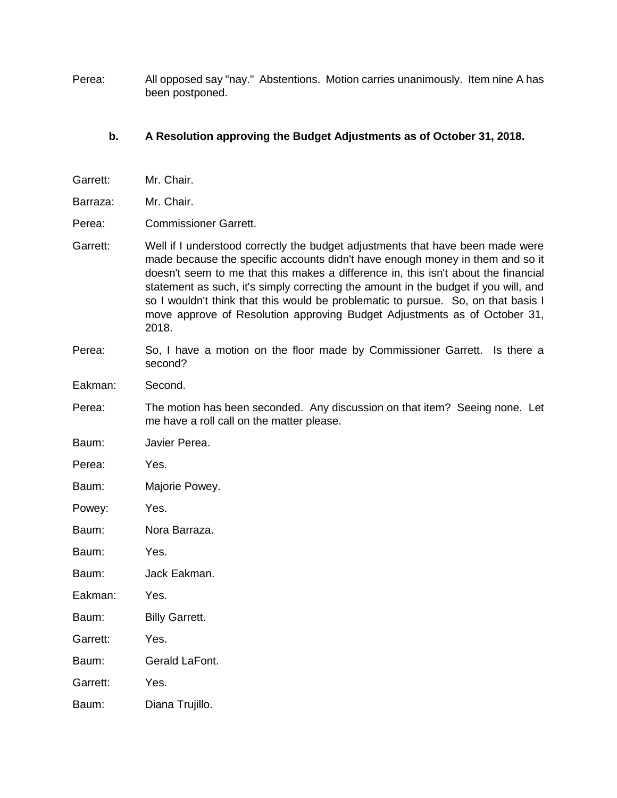Perea: All opposed say "nay." Abstentions. Motion carries unanimously. Item nine A has been postponed.

# **b. A Resolution approving the Budget Adjustments as of October 31, 2018.**

| Garrett: | Mr. Chair.                                                                                                                                                                                                                                                                                                                                                                                                                                                                                                              |  |  |  |  |  |  |
|----------|-------------------------------------------------------------------------------------------------------------------------------------------------------------------------------------------------------------------------------------------------------------------------------------------------------------------------------------------------------------------------------------------------------------------------------------------------------------------------------------------------------------------------|--|--|--|--|--|--|
| Barraza: | Mr. Chair.                                                                                                                                                                                                                                                                                                                                                                                                                                                                                                              |  |  |  |  |  |  |
| Perea:   | <b>Commissioner Garrett.</b>                                                                                                                                                                                                                                                                                                                                                                                                                                                                                            |  |  |  |  |  |  |
| Garrett: | Well if I understood correctly the budget adjustments that have been made were<br>made because the specific accounts didn't have enough money in them and so it<br>doesn't seem to me that this makes a difference in, this isn't about the financial<br>statement as such, it's simply correcting the amount in the budget if you will, and<br>so I wouldn't think that this would be problematic to pursue. So, on that basis I<br>move approve of Resolution approving Budget Adjustments as of October 31,<br>2018. |  |  |  |  |  |  |
| Perea:   | So, I have a motion on the floor made by Commissioner Garrett. Is there a<br>second?                                                                                                                                                                                                                                                                                                                                                                                                                                    |  |  |  |  |  |  |
| Eakman:  | Second.                                                                                                                                                                                                                                                                                                                                                                                                                                                                                                                 |  |  |  |  |  |  |
| Perea:   | The motion has been seconded. Any discussion on that item? Seeing none. Let<br>me have a roll call on the matter please.                                                                                                                                                                                                                                                                                                                                                                                                |  |  |  |  |  |  |
| Baum:    | Javier Perea.                                                                                                                                                                                                                                                                                                                                                                                                                                                                                                           |  |  |  |  |  |  |
| Perea:   | Yes.                                                                                                                                                                                                                                                                                                                                                                                                                                                                                                                    |  |  |  |  |  |  |
| Baum:    | Majorie Powey.                                                                                                                                                                                                                                                                                                                                                                                                                                                                                                          |  |  |  |  |  |  |
| Powey:   | Yes.                                                                                                                                                                                                                                                                                                                                                                                                                                                                                                                    |  |  |  |  |  |  |
| Baum:    | Nora Barraza.                                                                                                                                                                                                                                                                                                                                                                                                                                                                                                           |  |  |  |  |  |  |
| Baum:    | Yes.                                                                                                                                                                                                                                                                                                                                                                                                                                                                                                                    |  |  |  |  |  |  |
| Baum:    | Jack Eakman.                                                                                                                                                                                                                                                                                                                                                                                                                                                                                                            |  |  |  |  |  |  |
| Eakman:  | Yes.                                                                                                                                                                                                                                                                                                                                                                                                                                                                                                                    |  |  |  |  |  |  |
| Baum:    | <b>Billy Garrett.</b>                                                                                                                                                                                                                                                                                                                                                                                                                                                                                                   |  |  |  |  |  |  |
| Garrett: | Yes.                                                                                                                                                                                                                                                                                                                                                                                                                                                                                                                    |  |  |  |  |  |  |
| Baum:    | Gerald LaFont.                                                                                                                                                                                                                                                                                                                                                                                                                                                                                                          |  |  |  |  |  |  |
| Garrett: | Yes.                                                                                                                                                                                                                                                                                                                                                                                                                                                                                                                    |  |  |  |  |  |  |
| Baum:    | Diana Trujillo.                                                                                                                                                                                                                                                                                                                                                                                                                                                                                                         |  |  |  |  |  |  |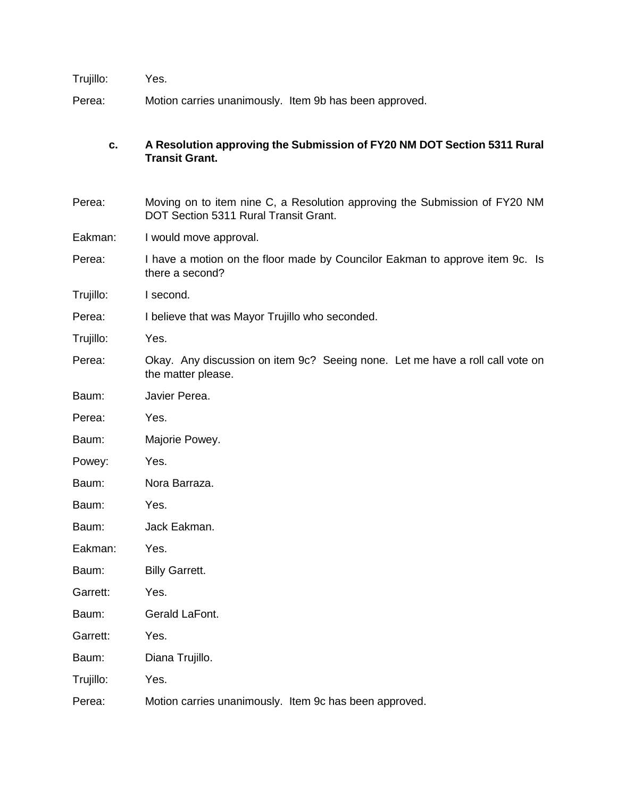Trujillo: Yes.

Perea: Motion carries unanimously. Item 9b has been approved.

## **c. A Resolution approving the Submission of FY20 NM DOT Section 5311 Rural Transit Grant.**

- Perea: Moving on to item nine C, a Resolution approving the Submission of FY20 NM DOT Section 5311 Rural Transit Grant.
- Eakman: I would move approval.
- Perea: I have a motion on the floor made by Councilor Eakman to approve item 9c. Is there a second?
- Trujillo: I second.
- Perea: I believe that was Mayor Trujillo who seconded.
- Trujillo: Yes.
- Perea: Okay. Any discussion on item 9c? Seeing none. Let me have a roll call vote on the matter please.
- Baum: Javier Perea.
- Perea: Yes.
- Baum: Majorie Powey.
- Powey: Yes.
- Baum: Nora Barraza.
- Baum: Yes.
- Baum: Jack Eakman.
- Eakman: Yes.
- Baum: Billy Garrett.
- Garrett: Yes.
- Baum: Gerald LaFont.
- Garrett: Yes.
- Baum: Diana Trujillo.
- Trujillo: Yes.
- Perea: Motion carries unanimously. Item 9c has been approved.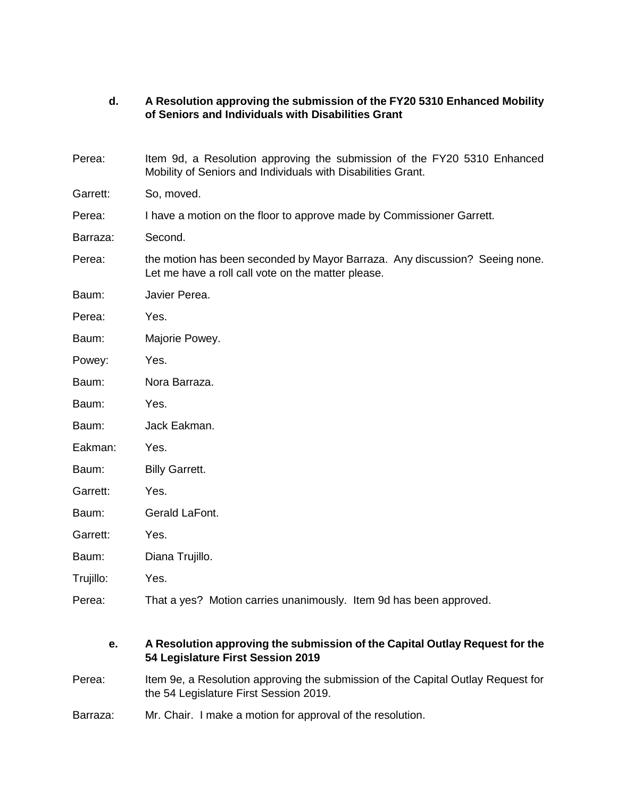## **d. A Resolution approving the submission of the FY20 5310 Enhanced Mobility of Seniors and Individuals with Disabilities Grant**

| Perea:    | Item 9d, a Resolution approving the submission of the FY20 5310 Enhanced<br>Mobility of Seniors and Individuals with Disabilities Grant. |  |  |  |  |  |  |  |
|-----------|------------------------------------------------------------------------------------------------------------------------------------------|--|--|--|--|--|--|--|
| Garrett:  | So, moved.                                                                                                                               |  |  |  |  |  |  |  |
| Perea:    | I have a motion on the floor to approve made by Commissioner Garrett.                                                                    |  |  |  |  |  |  |  |
| Barraza:  | Second.                                                                                                                                  |  |  |  |  |  |  |  |
| Perea:    | the motion has been seconded by Mayor Barraza. Any discussion? Seeing none.<br>Let me have a roll call vote on the matter please.        |  |  |  |  |  |  |  |
| Baum:     | Javier Perea.                                                                                                                            |  |  |  |  |  |  |  |
| Perea:    | Yes.                                                                                                                                     |  |  |  |  |  |  |  |
| Baum:     | Majorie Powey.                                                                                                                           |  |  |  |  |  |  |  |
| Powey:    | Yes.                                                                                                                                     |  |  |  |  |  |  |  |
| Baum:     | Nora Barraza.                                                                                                                            |  |  |  |  |  |  |  |
| Baum:     | Yes.                                                                                                                                     |  |  |  |  |  |  |  |
| Baum:     | Jack Eakman.                                                                                                                             |  |  |  |  |  |  |  |
| Eakman:   | Yes.                                                                                                                                     |  |  |  |  |  |  |  |
| Baum:     | <b>Billy Garrett.</b>                                                                                                                    |  |  |  |  |  |  |  |
| Garrett:  | Yes.                                                                                                                                     |  |  |  |  |  |  |  |
| Baum:     | Gerald LaFont.                                                                                                                           |  |  |  |  |  |  |  |
| Garrett:  | Yes.                                                                                                                                     |  |  |  |  |  |  |  |
| Baum:     | Diana Trujillo.                                                                                                                          |  |  |  |  |  |  |  |
| Trujillo: | Yes.                                                                                                                                     |  |  |  |  |  |  |  |
| Perea:    | That a yes? Motion carries unanimously. Item 9d has been approved.                                                                       |  |  |  |  |  |  |  |

## **e. A Resolution approving the submission of the Capital Outlay Request for the 54 Legislature First Session 2019**

- Perea: Item 9e, a Resolution approving the submission of the Capital Outlay Request for the 54 Legislature First Session 2019.
- Barraza: Mr. Chair. I make a motion for approval of the resolution.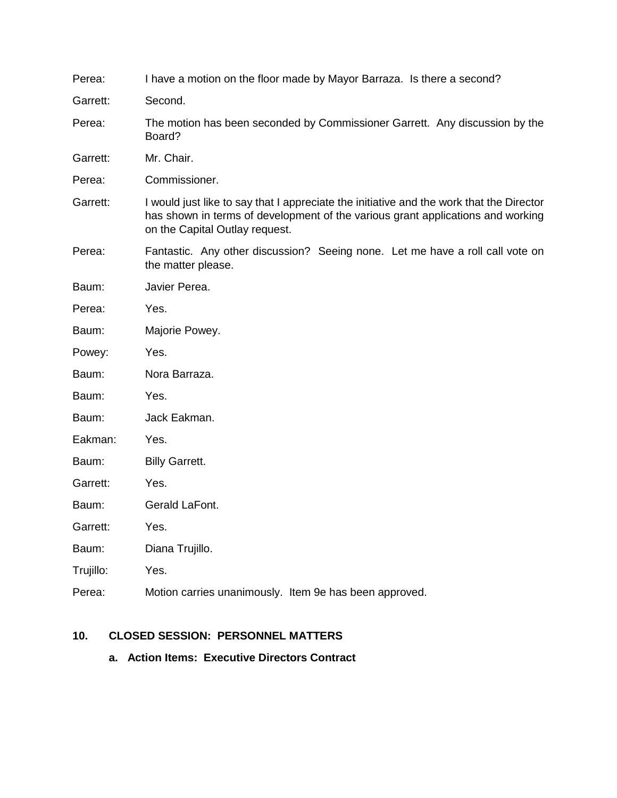| Perea:    | I have a motion on the floor made by Mayor Barraza. Is there a second?                                                                                                                                        |  |  |  |  |  |  |
|-----------|---------------------------------------------------------------------------------------------------------------------------------------------------------------------------------------------------------------|--|--|--|--|--|--|
| Garrett:  | Second.                                                                                                                                                                                                       |  |  |  |  |  |  |
| Perea:    | The motion has been seconded by Commissioner Garrett. Any discussion by the<br>Board?                                                                                                                         |  |  |  |  |  |  |
| Garrett:  | Mr. Chair.                                                                                                                                                                                                    |  |  |  |  |  |  |
| Perea:    | Commissioner.                                                                                                                                                                                                 |  |  |  |  |  |  |
| Garrett:  | I would just like to say that I appreciate the initiative and the work that the Director<br>has shown in terms of development of the various grant applications and working<br>on the Capital Outlay request. |  |  |  |  |  |  |
| Perea:    | Fantastic. Any other discussion? Seeing none. Let me have a roll call vote on<br>the matter please.                                                                                                           |  |  |  |  |  |  |
| Baum:     | Javier Perea.                                                                                                                                                                                                 |  |  |  |  |  |  |
| Perea:    | Yes.                                                                                                                                                                                                          |  |  |  |  |  |  |
| Baum:     | Majorie Powey.                                                                                                                                                                                                |  |  |  |  |  |  |
| Powey:    | Yes.                                                                                                                                                                                                          |  |  |  |  |  |  |
| Baum:     | Nora Barraza.                                                                                                                                                                                                 |  |  |  |  |  |  |
| Baum:     | Yes.                                                                                                                                                                                                          |  |  |  |  |  |  |
| Baum:     | Jack Eakman.                                                                                                                                                                                                  |  |  |  |  |  |  |
| Eakman:   | Yes.                                                                                                                                                                                                          |  |  |  |  |  |  |
| Baum:     | <b>Billy Garrett.</b>                                                                                                                                                                                         |  |  |  |  |  |  |
| Garrett:  | Yes.                                                                                                                                                                                                          |  |  |  |  |  |  |
| Baum:     | Gerald LaFont.                                                                                                                                                                                                |  |  |  |  |  |  |
| Garrett:  | Yes.                                                                                                                                                                                                          |  |  |  |  |  |  |
| Baum:     | Diana Trujillo.                                                                                                                                                                                               |  |  |  |  |  |  |
| Trujillo: | Yes.                                                                                                                                                                                                          |  |  |  |  |  |  |
| Perea:    | Motion carries unanimously. Item 9e has been approved.                                                                                                                                                        |  |  |  |  |  |  |

# **10. CLOSED SESSION: PERSONNEL MATTERS**

**a. Action Items: Executive Directors Contract**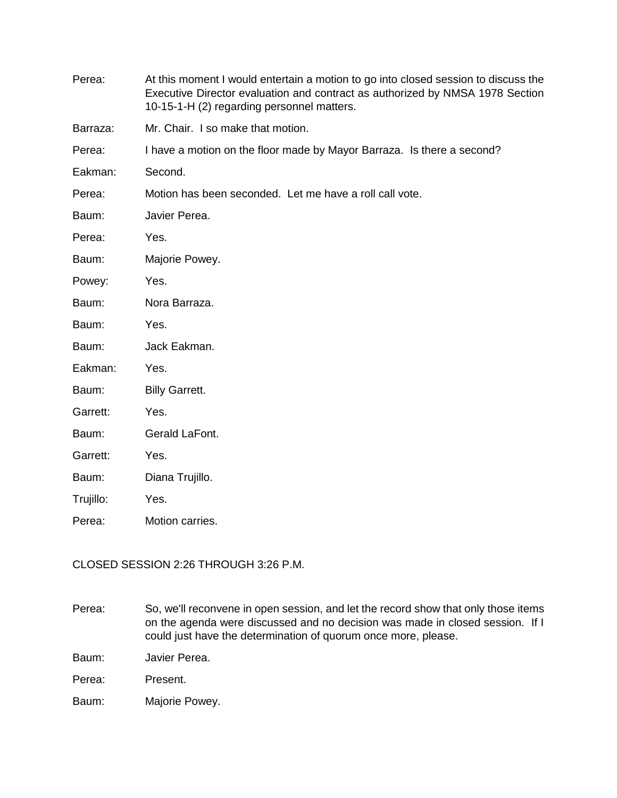| Perea:    | At this moment I would entertain a motion to go into closed session to discuss the<br>Executive Director evaluation and contract as authorized by NMSA 1978 Section<br>10-15-1-H (2) regarding personnel matters. |  |  |  |  |  |  |
|-----------|-------------------------------------------------------------------------------------------------------------------------------------------------------------------------------------------------------------------|--|--|--|--|--|--|
| Barraza:  | Mr. Chair. I so make that motion.                                                                                                                                                                                 |  |  |  |  |  |  |
| Perea:    | I have a motion on the floor made by Mayor Barraza. Is there a second?                                                                                                                                            |  |  |  |  |  |  |
| Eakman:   | Second.                                                                                                                                                                                                           |  |  |  |  |  |  |
| Perea:    | Motion has been seconded. Let me have a roll call vote.                                                                                                                                                           |  |  |  |  |  |  |
| Baum:     | Javier Perea.                                                                                                                                                                                                     |  |  |  |  |  |  |
| Perea:    | Yes.                                                                                                                                                                                                              |  |  |  |  |  |  |
| Baum:     | Majorie Powey.                                                                                                                                                                                                    |  |  |  |  |  |  |
| Powey:    | Yes.                                                                                                                                                                                                              |  |  |  |  |  |  |
| Baum:     | Nora Barraza.                                                                                                                                                                                                     |  |  |  |  |  |  |
| Baum:     | Yes.                                                                                                                                                                                                              |  |  |  |  |  |  |
| Baum:     | Jack Eakman.                                                                                                                                                                                                      |  |  |  |  |  |  |
| Eakman:   | Yes.                                                                                                                                                                                                              |  |  |  |  |  |  |
| Baum:     | <b>Billy Garrett.</b>                                                                                                                                                                                             |  |  |  |  |  |  |
| Garrett:  | Yes.                                                                                                                                                                                                              |  |  |  |  |  |  |
| Baum:     | Gerald LaFont.                                                                                                                                                                                                    |  |  |  |  |  |  |
| Garrett:  | Yes.                                                                                                                                                                                                              |  |  |  |  |  |  |
| Baum:     | Diana Trujillo.                                                                                                                                                                                                   |  |  |  |  |  |  |
| Trujillo: | Yes.                                                                                                                                                                                                              |  |  |  |  |  |  |
| Perea:    | Motion carries.                                                                                                                                                                                                   |  |  |  |  |  |  |

CLOSED SESSION 2:26 THROUGH 3:26 P.M.

Perea: So, we'll reconvene in open session, and let the record show that only those items on the agenda were discussed and no decision was made in closed session. If I could just have the determination of quorum once more, please.

Baum: Javier Perea.

Perea: Present.

Baum: Majorie Powey.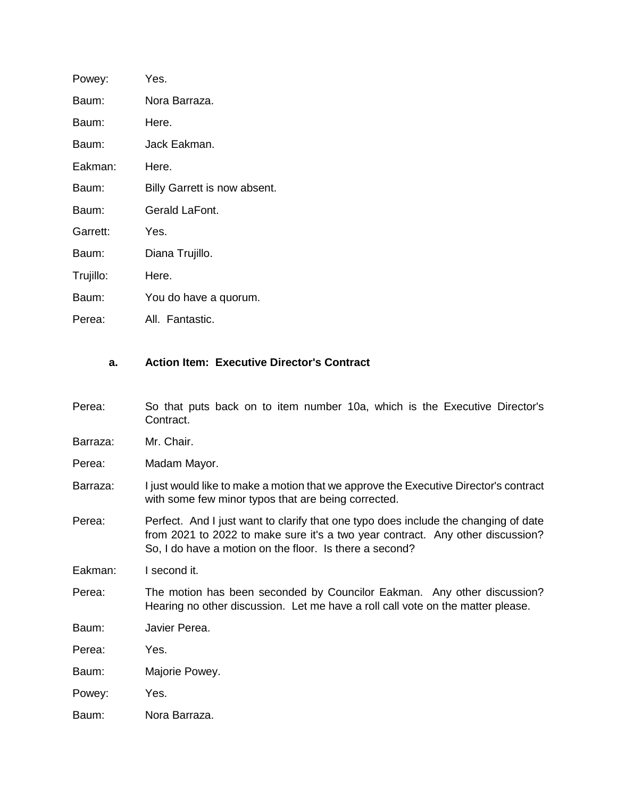| Powey:    | Yes.                         |
|-----------|------------------------------|
| Baum:     | Nora Barraza.                |
| Baum:     | Here.                        |
| Baum:     | Jack Eakman.                 |
| Eakman:   | Here.                        |
| Baum:     | Billy Garrett is now absent. |
| Baum:     | Gerald LaFont.               |
| Garrett:  | Yes.                         |
| Baum:     | Diana Trujillo.              |
| Trujillo: | Here.                        |
| Baum:     | You do have a quorum.        |
| Perea:    | All. Fantastic.              |

## **a. Action Item: Executive Director's Contract**

- Perea: So that puts back on to item number 10a, which is the Executive Director's Contract.
- Barraza: Mr. Chair.
- Perea: Madam Mayor.
- Barraza: I just would like to make a motion that we approve the Executive Director's contract with some few minor typos that are being corrected.
- Perea: Perfect. And I just want to clarify that one typo does include the changing of date from 2021 to 2022 to make sure it's a two year contract. Any other discussion? So, I do have a motion on the floor. Is there a second?

Eakman: I second it.

- Perea: The motion has been seconded by Councilor Eakman. Any other discussion? Hearing no other discussion. Let me have a roll call vote on the matter please.
- Baum: Javier Perea.
- Perea: Yes.
- Baum: Majorie Powey.
- Powey: Yes.
- Baum: Nora Barraza.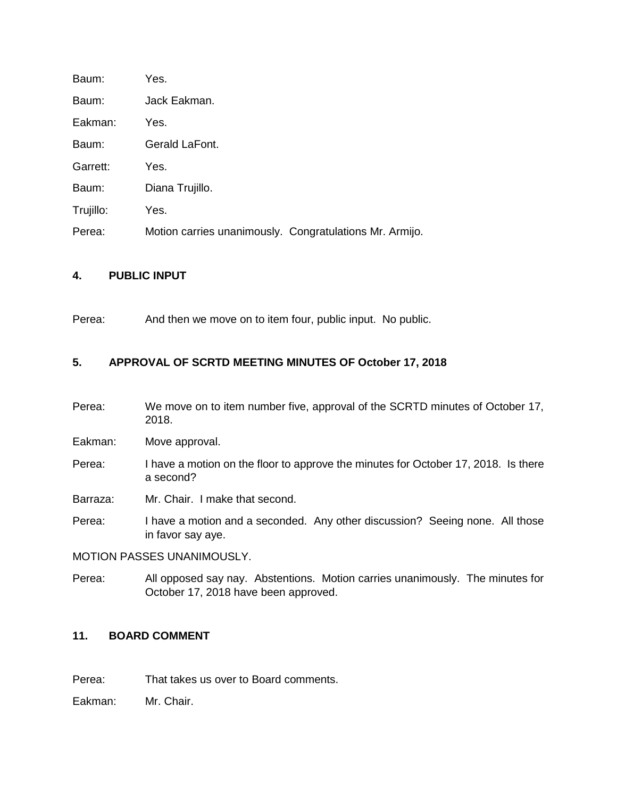| Baum:     | Yes.                                                    |
|-----------|---------------------------------------------------------|
| Baum:     | Jack Eakman.                                            |
| Eakman:   | Yes.                                                    |
| Baum:     | Gerald LaFont.                                          |
| Garrett:  | Yes.                                                    |
| Baum:     | Diana Trujillo.                                         |
| Trujillo: | Yes.                                                    |
| Perea:    | Motion carries unanimously. Congratulations Mr. Armijo. |

#### **4. PUBLIC INPUT**

Perea: And then we move on to item four, public input. No public.

#### **5. APPROVAL OF SCRTD MEETING MINUTES OF October 17, 2018**

Perea: We move on to item number five, approval of the SCRTD minutes of October 17, 2018.

Eakman: Move approval.

- Perea: I have a motion on the floor to approve the minutes for October 17, 2018. Is there a second?
- Barraza: Mr. Chair. I make that second.
- Perea: I have a motion and a seconded. Any other discussion? Seeing none. All those in favor say aye.

MOTION PASSES UNANIMOUSLY.

Perea: All opposed say nay. Abstentions. Motion carries unanimously. The minutes for October 17, 2018 have been approved.

#### **11. BOARD COMMENT**

Perea: That takes us over to Board comments.

Eakman: Mr. Chair.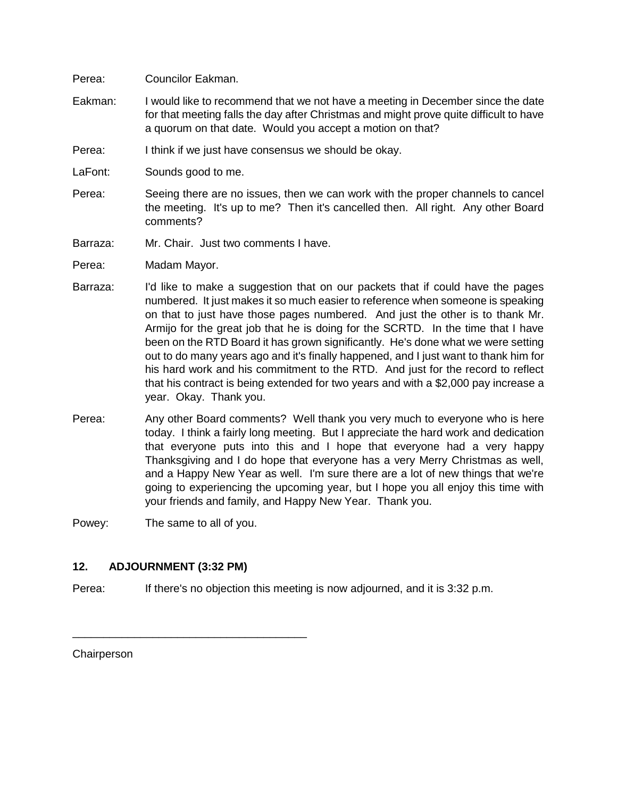#### Perea: Councilor Eakman.

- Eakman: I would like to recommend that we not have a meeting in December since the date for that meeting falls the day after Christmas and might prove quite difficult to have a quorum on that date. Would you accept a motion on that?
- Perea: I think if we just have consensus we should be okay.
- LaFont: Sounds good to me.
- Perea: Seeing there are no issues, then we can work with the proper channels to cancel the meeting. It's up to me? Then it's cancelled then. All right. Any other Board comments?
- Barraza: Mr. Chair. Just two comments I have.
- Perea: Madam Mayor.
- Barraza: I'd like to make a suggestion that on our packets that if could have the pages numbered. It just makes it so much easier to reference when someone is speaking on that to just have those pages numbered. And just the other is to thank Mr. Armijo for the great job that he is doing for the SCRTD. In the time that I have been on the RTD Board it has grown significantly. He's done what we were setting out to do many years ago and it's finally happened, and I just want to thank him for his hard work and his commitment to the RTD. And just for the record to reflect that his contract is being extended for two years and with a \$2,000 pay increase a year. Okay. Thank you.
- Perea: Any other Board comments? Well thank you very much to everyone who is here today. I think a fairly long meeting. But I appreciate the hard work and dedication that everyone puts into this and I hope that everyone had a very happy Thanksgiving and I do hope that everyone has a very Merry Christmas as well, and a Happy New Year as well. I'm sure there are a lot of new things that we're going to experiencing the upcoming year, but I hope you all enjoy this time with your friends and family, and Happy New Year. Thank you.

Powey: The same to all of you.

#### **12. ADJOURNMENT (3:32 PM)**

\_\_\_\_\_\_\_\_\_\_\_\_\_\_\_\_\_\_\_\_\_\_\_\_\_\_\_\_\_\_\_\_\_\_\_\_\_\_

Perea: If there's no objection this meeting is now adjourned, and it is 3:32 p.m.

**Chairperson**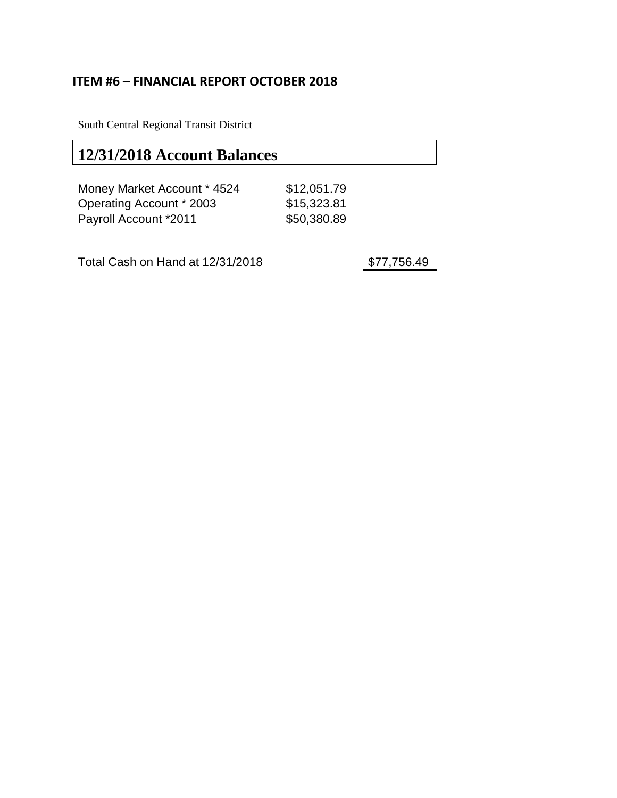# **ITEM #6 – FINANCIAL REPORT OCTOBER 2018**

South Central Regional Transit District

# **12/31/2018 Account Balances**

| Money Market Account * 4524  | \$12,051.79 |
|------------------------------|-------------|
| Operating Account * 2003     | \$15,323.81 |
| <b>Payroll Account *2011</b> | \$50,380.89 |

Total Cash on Hand at 12/31/2018 \$77,756.49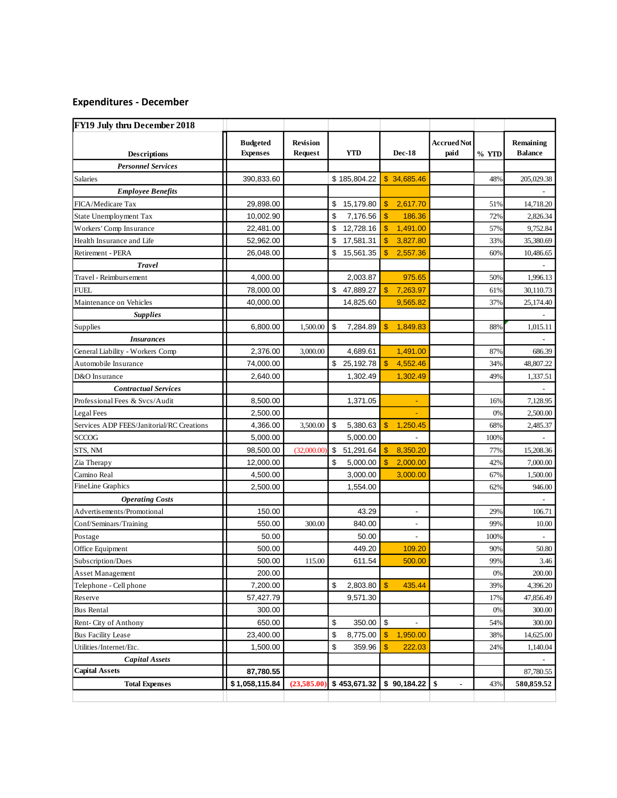## **Expenditures - December**

| FY19 July thru December 2018              |                                    |                                   |                                        |                                |                     |       |                             |
|-------------------------------------------|------------------------------------|-----------------------------------|----------------------------------------|--------------------------------|---------------------|-------|-----------------------------|
| <b>Descriptions</b>                       | <b>Budgeted</b><br><b>Expenses</b> | <b>Revision</b><br><b>Request</b> | <b>YTD</b>                             | <b>Dec-18</b>                  | Accrued Not<br>paid | % YTD | Remaining<br><b>Balance</b> |
| <b>Personnel Services</b>                 |                                    |                                   |                                        |                                |                     |       |                             |
| Salaries                                  | 390,833.60                         |                                   | \$185,804.22                           | \$34,685.46                    |                     | 48%   | 205,029.38                  |
| <b>Employee Benefits</b>                  |                                    |                                   |                                        |                                |                     |       |                             |
| FICA/Medicare Tax                         | 29,898.00                          |                                   | \$<br>15,179.80                        | \$<br>2,617.70                 |                     | 51%   | 14,718.20                   |
| State Unemployment Tax                    | 10,002.90                          |                                   | \$<br>7,176.56                         | $\mathbf{\$}$<br>186.36        |                     | 72%   | 2,826.34                    |
| Workers' Comp Insurance                   | 22,481.00                          |                                   | \$<br>12,728.16                        | \$<br>1,491.00                 |                     | 57%   | 9,752.84                    |
| Health Insurance and Life                 | 52,962.00                          |                                   | \$<br>17,581.31                        | \$<br>3,827.80                 |                     | 33%   | 35,380.69                   |
| Retirement - PERA                         | 26,048.00                          |                                   | \$<br>15,561.35                        | \$<br>2,557.36                 |                     | 60%   | 10,486.65                   |
| <b>Travel</b>                             |                                    |                                   |                                        |                                |                     |       |                             |
| Travel - Reimbursement                    | 4,000.00                           |                                   | 2,003.87                               | 975.65                         |                     | 50%   | 1,996.13                    |
| <b>FUEL</b>                               | 78,000.00                          |                                   | \$<br>47,889.27                        | 7,263.97                       |                     | 61%   | 30,110.73                   |
| Maintenance on Vehicles                   | 40,000.00                          |                                   | 14,825.60                              | 9,565.82                       |                     | 37%   | 25,174.40                   |
| <b>Supplies</b>                           |                                    |                                   |                                        |                                |                     |       |                             |
| Supplies                                  | 6,800.00                           | 1,500.00                          | \$<br>7,284.89                         | \$<br>1,849.83                 |                     | 88%   | 1,015.11                    |
| <b>Insurances</b>                         |                                    |                                   |                                        |                                |                     |       |                             |
| General Liability - Workers Comp          | 2,376.00                           | 3,000.00                          | 4.689.61                               | 1,491.00                       |                     | 87%   | 686.39                      |
| Automobile Insurance                      | 74,000.00                          |                                   | \$25,192.78                            | $\mathbf{\$}$<br>4,552.46      |                     | 34%   | 48,807.22                   |
| D&O Insurance                             | 2,640.00                           |                                   | 1,302.49                               | 1,302.49                       |                     | 49%   | 1,337.51                    |
| <b>Contractual Services</b>               |                                    |                                   |                                        |                                |                     |       |                             |
| Professional Fees & Svcs/Audit            | 8,500.00                           |                                   | 1,371.05                               | $\blacksquare$                 |                     | 16%   | 7,128.95                    |
| Legal Fees                                | 2,500.00                           |                                   |                                        | ÷.                             |                     | 0%    | 2,500.00                    |
| Services ADP FEES/Janitorial/RC Creations | 4,366.00                           | 3,500.00                          | \$<br>5,380.63                         | \$<br>1,250.45                 |                     | 68%   | 2,485.37                    |
| <b>SCCOG</b>                              | 5,000.00                           |                                   | 5,000.00                               |                                |                     | 100%  |                             |
| STS, NM                                   | 98,500.00                          | (32,000.00)                       | $\boldsymbol{\mathsf{S}}$<br>51,291.64 | 8,350.20<br>\$                 |                     | 77%   | 15,208.36                   |
| Zia Therapy                               | 12,000.00                          |                                   | \$<br>5,000.00                         | 2,000.00                       |                     | 42%   | 7,000.00                    |
| Camino Real                               | 4,500.00                           |                                   | 3,000.00                               | 3,000.00                       |                     | 67%   | 1,500.00                    |
| <b>FineLine Graphics</b>                  | 2,500.00                           |                                   | 1,554.00                               |                                |                     | 62%   | 946.00                      |
| <b>Operating Costs</b>                    |                                    |                                   |                                        |                                |                     |       |                             |
| Advertisements/Promotional                | 150.00                             |                                   | 43.29                                  | $\overline{\phantom{a}}$       |                     | 29%   | 106.71                      |
| Conf/Seminars/Training                    | 550.00                             | 300.00                            | 840.00                                 | $\overline{\phantom{a}}$       |                     | 99%   | 10.00                       |
| Postage                                   | 50.00                              |                                   | 50.00                                  |                                |                     | 100%  |                             |
| Office Equipment                          | 500.00                             |                                   | 449.20                                 | 109.20                         |                     | 90%   | 50.80                       |
| Subscription/Dues                         | 500.00                             | 115.00                            | 611.54                                 | 500.00                         |                     | 99%   | 3.46                        |
| Asset Management                          | 200.00                             |                                   |                                        |                                |                     | 0%    | 200.00                      |
| Telephone - Cell phone                    | 7,200.00                           |                                   | \$<br>2,803.80                         | $\mathbf{\$}$<br>435.44        |                     | 39%   | 4,396.20                    |
| Reserve                                   | 57,427.79                          |                                   | 9,571.30                               |                                |                     | 17%   | 47,856.49                   |
| <b>Bus Rental</b>                         | 300.00                             |                                   |                                        |                                |                     | 0%    | 300.00                      |
| Rent-City of Anthony                      | 650.00                             |                                   | \$<br>350.00                           | \$<br>$\overline{\phantom{a}}$ |                     | 54%   | 300.00                      |
| <b>Bus Facility Lease</b>                 | 23,400.00                          |                                   | \$<br>8,775.00                         | \$<br>1,950.00                 |                     | 38%   | 14,625.00                   |
| Utilities/Internet/Etc.                   | 1,500.00                           |                                   | \$<br>359.96                           | \$<br>222.03                   |                     | 24%   | 1,140.04                    |
| <b>Capital Assets</b>                     |                                    |                                   |                                        |                                |                     |       |                             |
| <b>Capital Assets</b>                     | 87,780.55                          |                                   |                                        |                                |                     |       | 87,780.55                   |
| <b>Total Expenses</b>                     | \$1,058,115.84                     | (23,585.00)                       | \$453,671.32                           | \$90,184.22                    | \$                  | 43%   | 580,859.52                  |
|                                           |                                    |                                   |                                        |                                |                     |       |                             |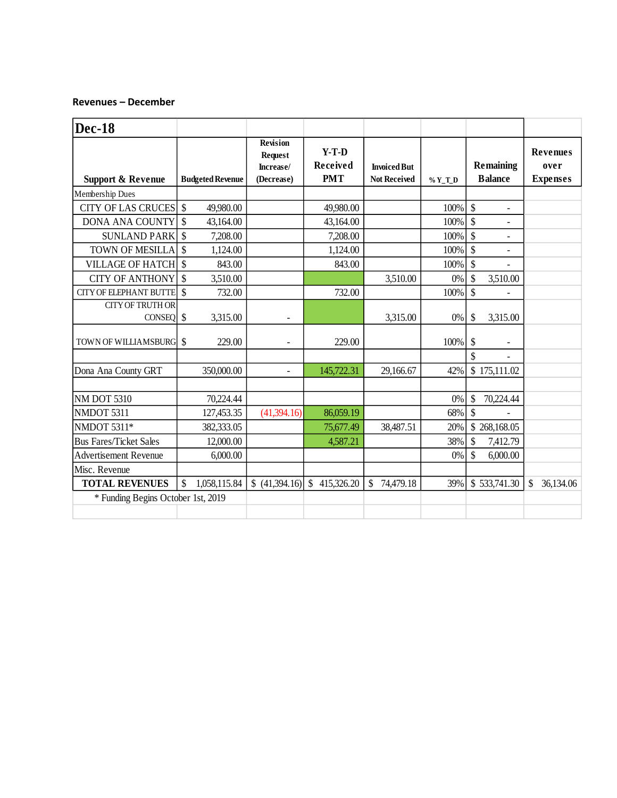#### **Revenues – December**

| <b>Dec-18</b>                         |               |                         |                                                              |                                          |                                           |         |                                    |                |                                            |           |
|---------------------------------------|---------------|-------------------------|--------------------------------------------------------------|------------------------------------------|-------------------------------------------|---------|------------------------------------|----------------|--------------------------------------------|-----------|
| <b>Support &amp; Revenue</b>          |               | <b>Budgeted Revenue</b> | <b>Revision</b><br><b>Request</b><br>Increase/<br>(Decrease) | $Y-T-D$<br><b>Received</b><br><b>PMT</b> | <b>Inwiced But</b><br><b>Not Received</b> | $%Y_TD$ | <b>Remaining</b><br><b>Balance</b> |                | <b>Revenues</b><br>over<br><b>Expenses</b> |           |
| Membership Dues                       |               |                         |                                                              |                                          |                                           |         |                                    |                |                                            |           |
| <b>CITY OF LAS CRUCES</b>             | $\mathcal{S}$ | 49,980.00               |                                                              | 49,980.00                                |                                           | 100%    | \$                                 | $\overline{a}$ |                                            |           |
| <b>DONA ANA COUNTY</b>                | $\mathcal{S}$ | 43,164.00               |                                                              | 43,164.00                                |                                           | 100%    | \$                                 |                |                                            |           |
| <b>SUNLAND PARK</b>                   | $\mathcal{S}$ | 7,208.00                |                                                              | 7,208.00                                 |                                           | 100%    | \$                                 |                |                                            |           |
| TOWN OF MESILLA                       | \$            | 1,124.00                |                                                              | 1,124.00                                 |                                           | 100%    | \$                                 |                |                                            |           |
| <b>VILLAGE OF HATCH</b>               | <sup>\$</sup> | 843.00                  |                                                              | 843.00                                   |                                           | 100%    | \$                                 |                |                                            |           |
| <b>CITY OF ANTHONY</b>                | $\mathcal{S}$ | 3,510.00                |                                                              |                                          | 3,510.00                                  | 0%      | \$                                 | 3,510.00       |                                            |           |
| <b>CITY OF ELEPHANT BUTTE</b>         | $\mathcal{S}$ | 732.00                  |                                                              | 732.00                                   |                                           | 100%    | \$                                 |                |                                            |           |
| <b>CITY OF TRUTH OR</b><br>$CONFQ$ \$ |               | 3,315.00                |                                                              |                                          | 3,315.00                                  | 0%      | \$                                 | 3,315.00       |                                            |           |
| TOWN OF WILLIAMSBURG                  | $\mathcal{S}$ | 229.00                  |                                                              | 229.00                                   |                                           | 100%    | \$                                 |                |                                            |           |
| Dona Ana County GRT                   |               | 350,000.00              |                                                              | 145,722.31                               | 29.166.67                                 | 42%     | \$                                 | \$175,111.02   |                                            |           |
|                                       |               |                         |                                                              |                                          |                                           |         |                                    |                |                                            |           |
| <b>NM DOT 5310</b>                    |               | 70,224.44               |                                                              |                                          |                                           | 0%      | \$                                 | 70,224.44      |                                            |           |
| NMDOT 5311                            |               | 127,453.35              | (41,394.16)                                                  | 86,059.19                                |                                           | 68%     | $\mathsf{\$}$                      |                |                                            |           |
| NMDOT 5311*                           |               | 382,333.05              |                                                              | 75,677.49                                | 38,487.51                                 | 20%     |                                    | \$268,168.05   |                                            |           |
| <b>Bus Fares/Ticket Sales</b>         |               | 12,000.00               |                                                              | 4,587.21                                 |                                           | 38%     | \$                                 | 7,412.79       |                                            |           |
| <b>Advertisement Revenue</b>          |               | 6,000.00                |                                                              |                                          |                                           | 0%      | \$                                 | 6,000.00       |                                            |           |
| Misc. Revenue                         |               |                         |                                                              |                                          |                                           |         |                                    |                |                                            |           |
| <b>TOTAL REVENUES</b>                 | \$            | 1,058,115.84            | \$(41,394.16)                                                | $\mathbb{S}$<br>415,326.20               | \$<br>74,479.18                           | 39%     |                                    | \$533,741.30   | \$                                         | 36,134.06 |
| * Funding Begins October 1st, 2019    |               |                         |                                                              |                                          |                                           |         |                                    |                |                                            |           |
|                                       |               |                         |                                                              |                                          |                                           |         |                                    |                |                                            |           |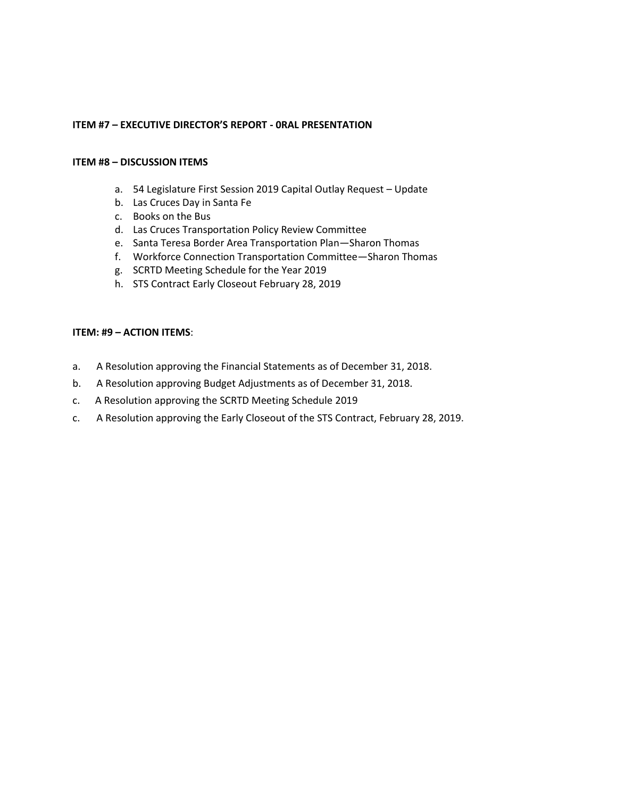#### **ITEM #7 – EXECUTIVE DIRECTOR'S REPORT - 0RAL PRESENTATION**

#### **ITEM #8 – DISCUSSION ITEMS**

- a. 54 Legislature First Session 2019 Capital Outlay Request Update
- b. Las Cruces Day in Santa Fe
- c. Books on the Bus
- d. Las Cruces Transportation Policy Review Committee
- e. Santa Teresa Border Area Transportation Plan—Sharon Thomas
- f. Workforce Connection Transportation Committee—Sharon Thomas
- g. SCRTD Meeting Schedule for the Year 2019
- h. STS Contract Early Closeout February 28, 2019

#### **ITEM: #9 – ACTION ITEMS**:

- a. A Resolution approving the Financial Statements as of December 31, 2018.
- b. A Resolution approving Budget Adjustments as of December 31, 2018.
- c. A Resolution approving the SCRTD Meeting Schedule 2019
- c. A Resolution approving the Early Closeout of the STS Contract, February 28, 2019.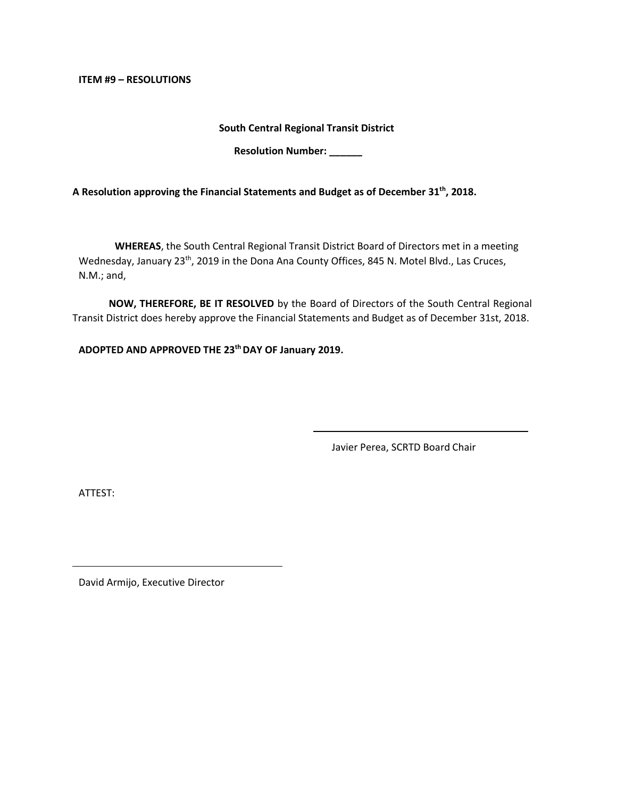**ITEM #9 – RESOLUTIONS**

**South Central Regional Transit District** 

**Resolution Number:** 

**A Resolution approving the Financial Statements and Budget as of December 31 th, 2018.** 

**WHEREAS**, the South Central Regional Transit District Board of Directors met in a meeting Wednesday, January 23<sup>th</sup>, 2019 in the Dona Ana County Offices, 845 N. Motel Blvd., Las Cruces, N.M.; and,

**NOW, THEREFORE, BE IT RESOLVED** by the Board of Directors of the South Central Regional Transit District does hereby approve the Financial Statements and Budget as of December 31st, 2018.

**ADOPTED AND APPROVED THE 23thDAY OF January 2019.**

Javier Perea, SCRTD Board Chair

ATTEST: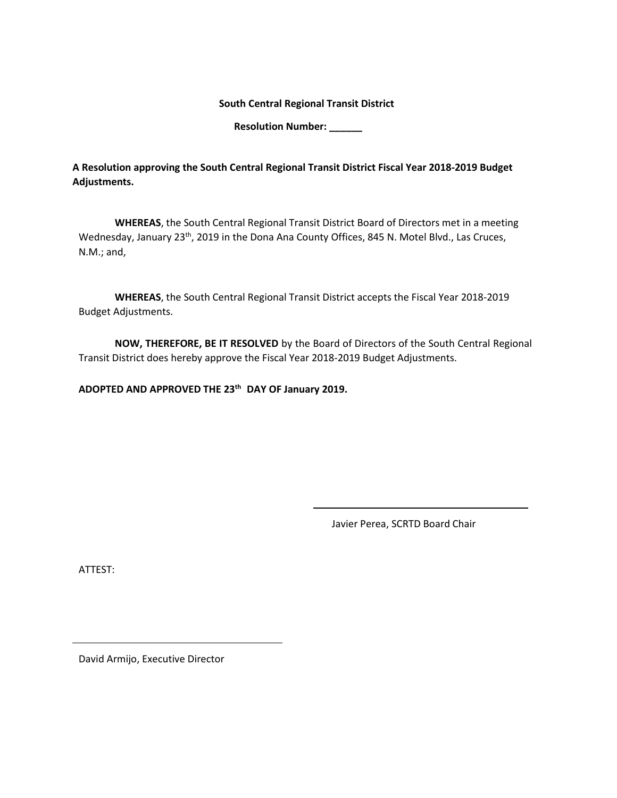**South Central Regional Transit District** 

**Resolution Number: \_\_\_\_\_\_**

**A Resolution approving the South Central Regional Transit District Fiscal Year 2018-2019 Budget Adjustments.**

**WHEREAS**, the South Central Regional Transit District Board of Directors met in a meeting Wednesday, January 23<sup>th</sup>, 2019 in the Dona Ana County Offices, 845 N. Motel Blvd., Las Cruces, N.M.; and,

**WHEREAS**, the South Central Regional Transit District accepts the Fiscal Year 2018-2019 Budget Adjustments.

**NOW, THEREFORE, BE IT RESOLVED** by the Board of Directors of the South Central Regional Transit District does hereby approve the Fiscal Year 2018-2019 Budget Adjustments.

**ADOPTED AND APPROVED THE 23 th DAY OF January 2019.**

Javier Perea, SCRTD Board Chair

ATTEST: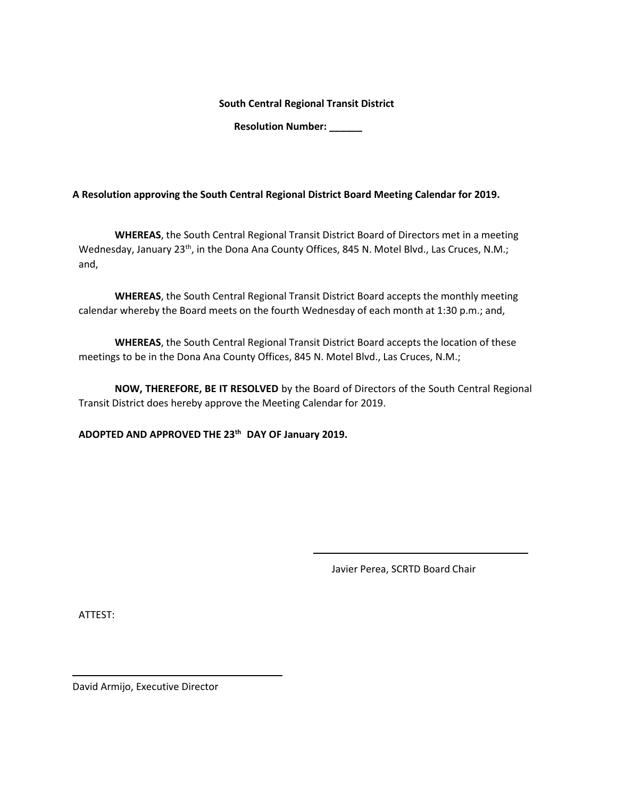**South Central Regional Transit District** 

**Resolution Number: \_\_\_\_\_\_**

**A Resolution approving the South Central Regional District Board Meeting Calendar for 2019.**

**WHEREAS**, the South Central Regional Transit District Board of Directors met in a meeting Wednesday, January 23<sup>th</sup>, in the Dona Ana County Offices, 845 N. Motel Blvd., Las Cruces, N.M.; and,

**WHEREAS**, the South Central Regional Transit District Board accepts the monthly meeting calendar whereby the Board meets on the fourth Wednesday of each month at 1:30 p.m.; and,

**WHEREAS**, the South Central Regional Transit District Board accepts the location of these meetings to be in the Dona Ana County Offices, 845 N. Motel Blvd., Las Cruces, N.M.;

**NOW, THEREFORE, BE IT RESOLVED** by the Board of Directors of the South Central Regional Transit District does hereby approve the Meeting Calendar for 2019.

**ADOPTED AND APPROVED THE 23 th DAY OF January 2019.**

Javier Perea, SCRTD Board Chair

ATTEST: